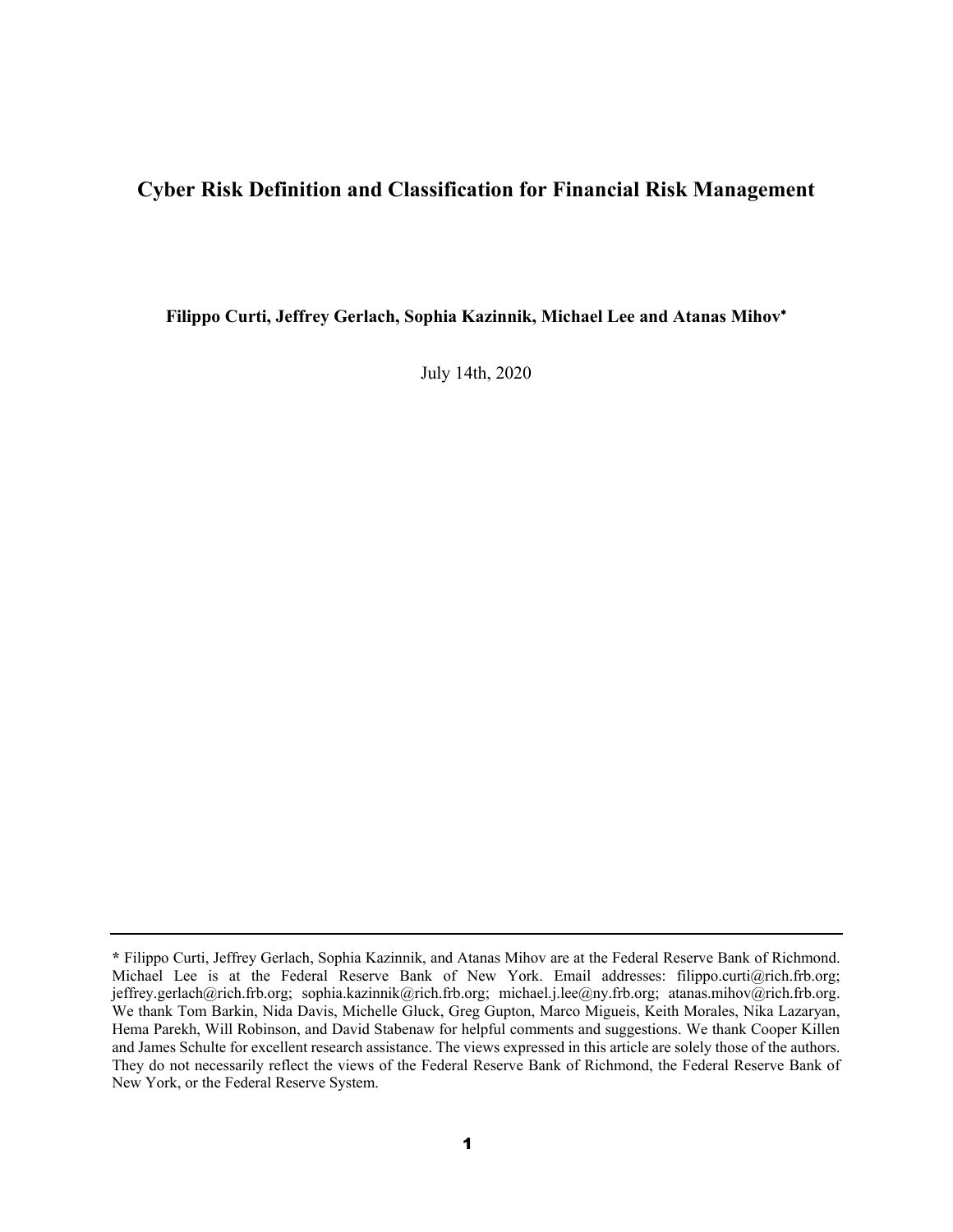### **Cyber Risk Definition and Classification for Financial Risk Management**

**Filippo Curti, Jeffrey Gerlach, Sophia Kazinnik, Michael Lee and Atanas Mihov**<sup>∗</sup>

July 14th, 2020

**<sup>\*</sup>** Filippo Curti, Jeffrey Gerlach, Sophia Kazinnik, and Atanas Mihov are at the Federal Reserve Bank of Richmond. Michael Lee is at the Federal Reserve Bank of New York. Email addresses: [filippo.curti@rich.frb.org;](mailto:filippo.curti@rich.frb.org) [jeffrey.gerlach@rich.frb.org;](mailto:jeffrey.gerlach@rich.frb.org) [sophia.kazinnik@rich.frb.org;](mailto:sophia.kazinnik@rich.frb.org) michael.j.lee@ny.frb.org; [atanas.mihov@rich.frb.org.](mailto:atanas.mihov@rich.frb.org) We thank Tom Barkin, Nida Davis, Michelle Gluck, Greg Gupton, Marco Migueis, Keith Morales, Nika Lazaryan, Hema Parekh, Will Robinson, and David Stabenaw for helpful comments and suggestions. We thank Cooper Killen and James Schulte for excellent research assistance. The views expressed in this article are solely those of the authors. They do not necessarily reflect the views of the Federal Reserve Bank of Richmond, the Federal Reserve Bank of New York, or the Federal Reserve System.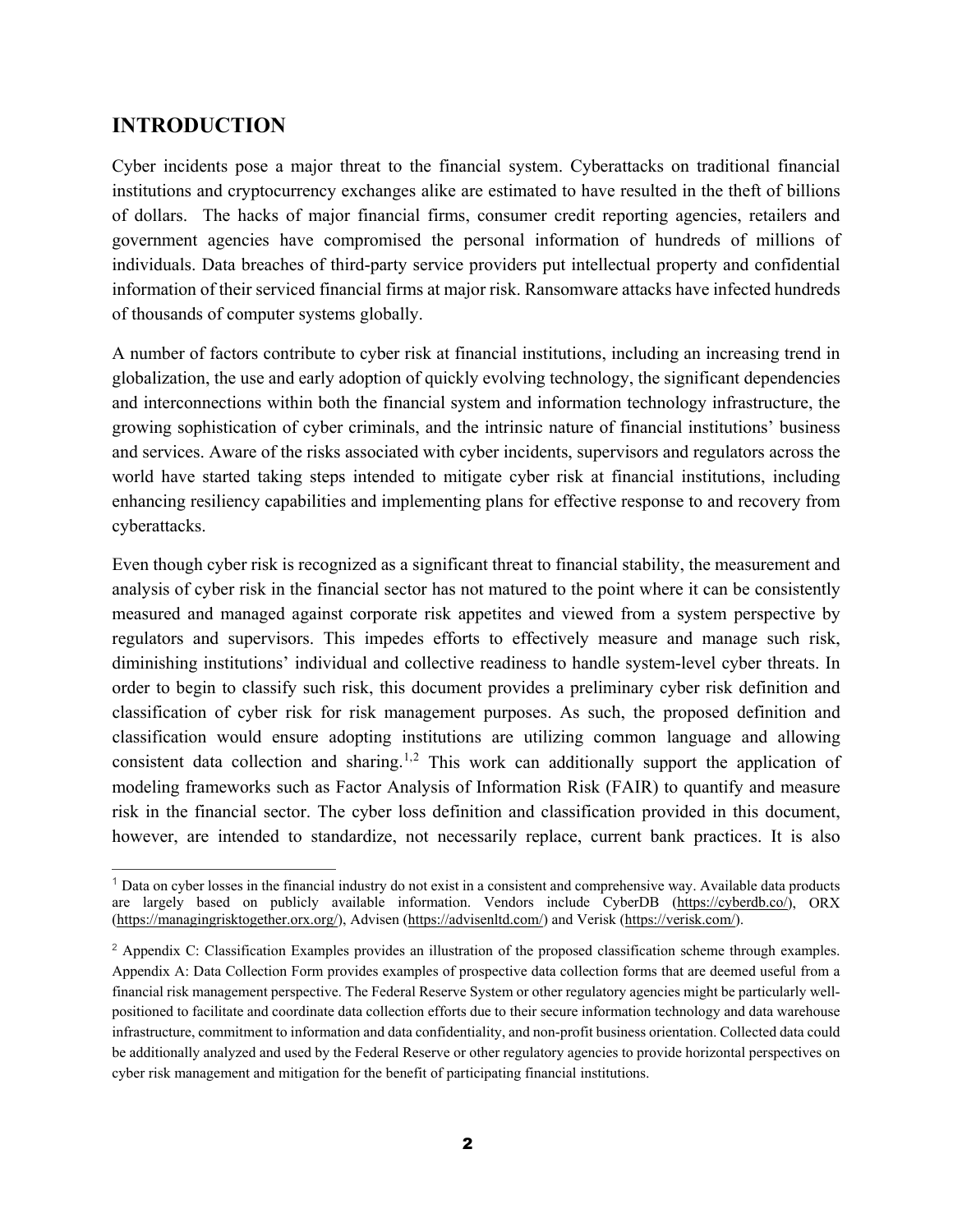## **INTRODUCTION**

Cyber incidents pose a major threat to the financial system. Cyberattacks on traditional financial institutions and cryptocurrency exchanges alike are estimated to have resulted in the theft of billions of dollars. The hacks of major financial firms, consumer credit reporting agencies, retailers and government agencies have compromised the personal information of hundreds of millions of individuals. Data breaches of third-party service providers put intellectual property and confidential information of their serviced financial firms at major risk. Ransomware attacks have infected hundreds of thousands of computer systems globally.

A number of factors contribute to cyber risk at financial institutions, including an increasing trend in globalization, the use and early adoption of quickly evolving technology, the significant dependencies and interconnections within both the financial system and information technology infrastructure, the growing sophistication of cyber criminals, and the intrinsic nature of financial institutions' business and services. Aware of the risks associated with cyber incidents, supervisors and regulators across the world have started taking steps intended to mitigate cyber risk at financial institutions, including enhancing resiliency capabilities and implementing plans for effective response to and recovery from cyberattacks.

Even though cyber risk is recognized as a significant threat to financial stability, the measurement and analysis of cyber risk in the financial sector has not matured to the point where it can be consistently measured and managed against corporate risk appetites and viewed from a system perspective by regulators and supervisors. This impedes efforts to effectively measure and manage such risk, diminishing institutions' individual and collective readiness to handle system-level cyber threats. In order to begin to classify such risk, this document provides a preliminary cyber risk definition and classification of cyber risk for risk management purposes. As such, the proposed definition and classification would ensure adopting institutions are utilizing common language and allowing consistent data collection and sharing.<sup>[1](#page-1-0),[2](#page-1-1)</sup> This work can additionally support the application of modeling frameworks such as Factor Analysis of Information Risk (FAIR) to quantify and measure risk in the financial sector. The cyber loss definition and classification provided in this document, however, are intended to standardize, not necessarily replace, current bank practices. It is also

<span id="page-1-0"></span> $<sup>1</sup>$  Data on cyber losses in the financial industry do not exist in a consistent and comprehensive way. Available data products</sup> are largely based on publicly available information. Vendors include CyberDB [\(https://cyberdb.co/\)](https://cyberdb.co/), ORX [\(https://managingrisktogether.orx.org/\)](https://managingrisktogether.orx.org/), Advisen [\(https://advisenltd.com/\)](https://advisenltd.com/) and Verisk [\(https://verisk.com/\)](https://verisk.com/).

<span id="page-1-1"></span><sup>2</sup> Appendix C: Classification Examples provides an illustration of the proposed classification scheme through examples. Appendix A: Data Collection Form provides examples of prospective data collection forms that are deemed useful from a financial risk management perspective. The Federal Reserve System or other regulatory agencies might be particularly wellpositioned to facilitate and coordinate data collection efforts due to their secure information technology and data warehouse infrastructure, commitment to information and data confidentiality, and non-profit business orientation. Collected data could be additionally analyzed and used by the Federal Reserve or other regulatory agencies to provide horizontal perspectives on cyber risk management and mitigation for the benefit of participating financial institutions.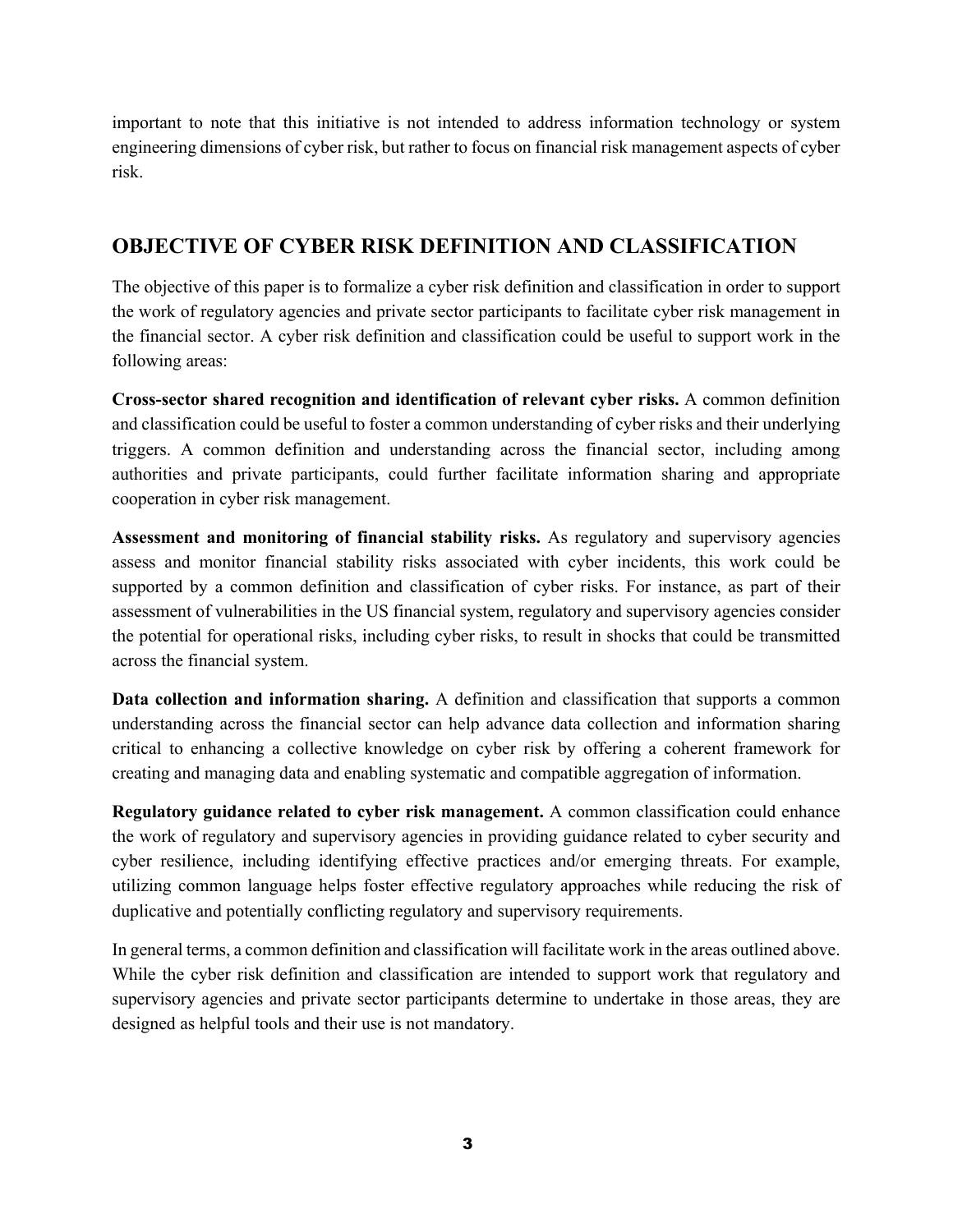important to note that this initiative is not intended to address information technology or system engineering dimensions of cyber risk, but rather to focus on financial risk management aspects of cyber risk.

## **OBJECTIVE OF CYBER RISK DEFINITION AND CLASSIFICATION**

The objective of this paper is to formalize a cyber risk definition and classification in order to support the work of regulatory agencies and private sector participants to facilitate cyber risk management in the financial sector. A cyber risk definition and classification could be useful to support work in the following areas:

**Cross-sector shared recognition and identification of relevant cyber risks.** A common definition and classification could be useful to foster a common understanding of cyber risks and their underlying triggers. A common definition and understanding across the financial sector, including among authorities and private participants, could further facilitate information sharing and appropriate cooperation in cyber risk management.

**Assessment and monitoring of financial stability risks.** As regulatory and supervisory agencies assess and monitor financial stability risks associated with cyber incidents, this work could be supported by a common definition and classification of cyber risks. For instance, as part of their assessment of vulnerabilities in the US financial system, regulatory and supervisory agencies consider the potential for operational risks, including cyber risks, to result in shocks that could be transmitted across the financial system.

**Data collection and information sharing.** A definition and classification that supports a common understanding across the financial sector can help advance data collection and information sharing critical to enhancing a collective knowledge on cyber risk by offering a coherent framework for creating and managing data and enabling systematic and compatible aggregation of information.

**Regulatory guidance related to cyber risk management.** A common classification could enhance the work of regulatory and supervisory agencies in providing guidance related to cyber security and cyber resilience, including identifying effective practices and/or emerging threats. For example, utilizing common language helps foster effective regulatory approaches while reducing the risk of duplicative and potentially conflicting regulatory and supervisory requirements.

In general terms, a common definition and classification will facilitate work in the areas outlined above. While the cyber risk definition and classification are intended to support work that regulatory and supervisory agencies and private sector participants determine to undertake in those areas, they are designed as helpful tools and their use is not mandatory.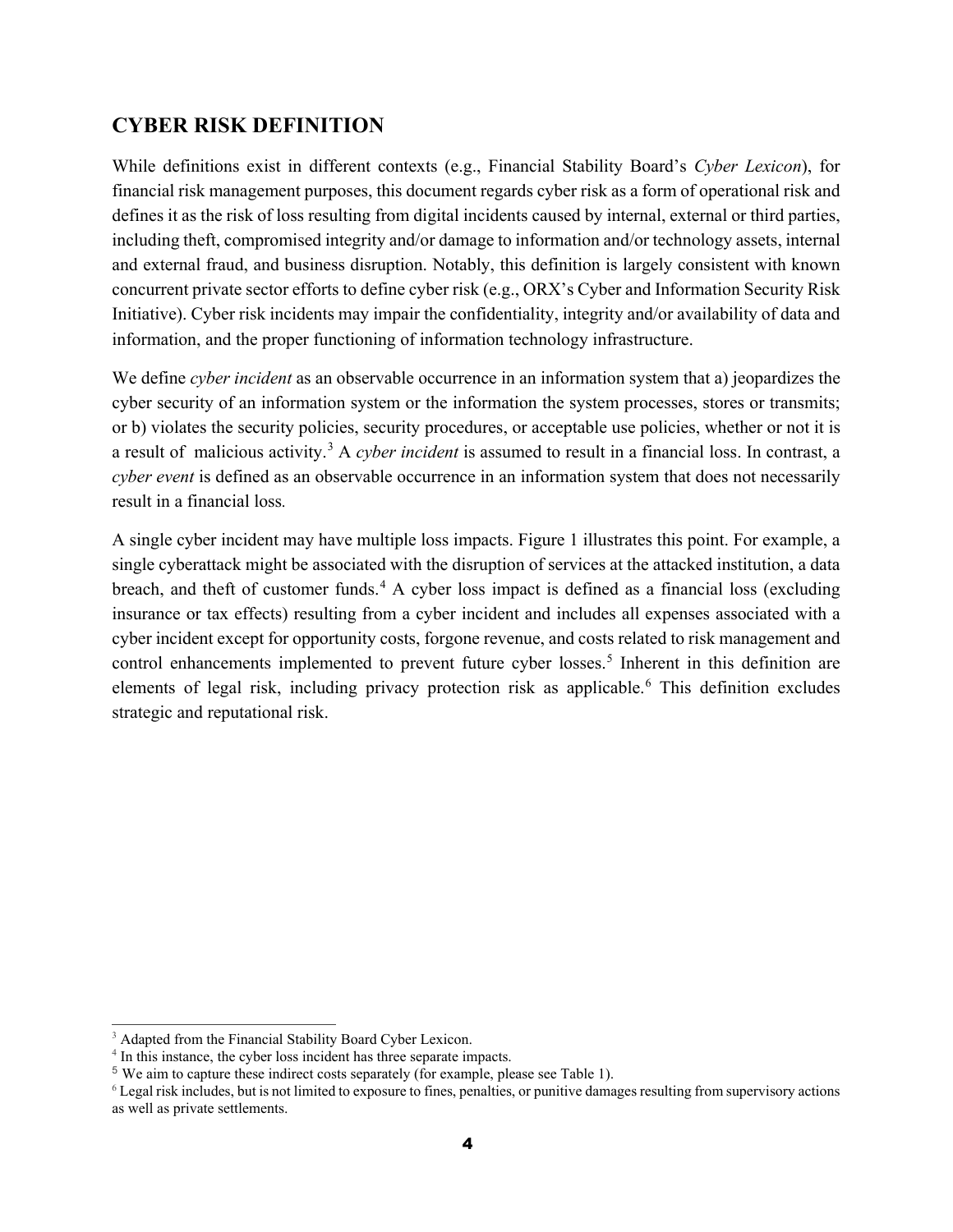## **CYBER RISK DEFINITION**

While definitions exist in different contexts (e.g., Financial Stability Board's *Cyber Lexicon*), for financial risk management purposes, this document regards cyber risk as a form of operational risk and defines it as the risk of loss resulting from digital incidents caused by internal, external or third parties, including theft, compromised integrity and/or damage to information and/or technology assets, internal and external fraud, and business disruption. Notably, this definition is largely consistent with known concurrent private sector efforts to define cyber risk (e.g., ORX's Cyber and Information Security Risk Initiative). Cyber risk incidents may impair the confidentiality, integrity and/or availability of data and information, and the proper functioning of information technology infrastructure.

We define *cyber incident* as an observable occurrence in an information system that a) jeopardizes the cyber security of an information system or the information the system processes, stores or transmits; or b) violates the security policies, security procedures, or acceptable use policies, whether or not it is a result of malicious activity.[3](#page-3-0) A *cyber incident* is assumed to result in a financial loss. In contrast, a *cyber event* is defined as an observable occurrence in an information system that does not necessarily result in a financial loss*.*

A single cyber incident may have multiple loss impacts. [Figure 1](#page-4-0) illustrates this point. For example, a single cyberattack might be associated with the disruption of services at the attacked institution, a data breach, and theft of customer funds.<sup>[4](#page-3-1)</sup> A cyber loss impact is defined as a financial loss (excluding insurance or tax effects) resulting from a cyber incident and includes all expenses associated with a cyber incident except for opportunity costs, forgone revenue, and costs related to risk management and control enhancements implemented to prevent future cyber losses.<sup>[5](#page-3-2)</sup> Inherent in this definition are elements of legal risk, including privacy protection risk as applicable. [6](#page-3-3) This definition excludes strategic and reputational risk.

<span id="page-3-0"></span> $\overline{a}$ <sup>3</sup> Adapted from the Financial Stability Board Cyber Lexicon.

<span id="page-3-1"></span><sup>&</sup>lt;sup>4</sup> In this instance, the cyber loss incident has three separate impacts.

<span id="page-3-2"></span><sup>5</sup> We aim to capture these indirect costs separately (for example, please see Table 1).

<span id="page-3-3"></span><sup>6</sup> Legal risk includes, but is not limited to exposure to fines, penalties, or punitive damages resulting from supervisory actions as well as private settlements.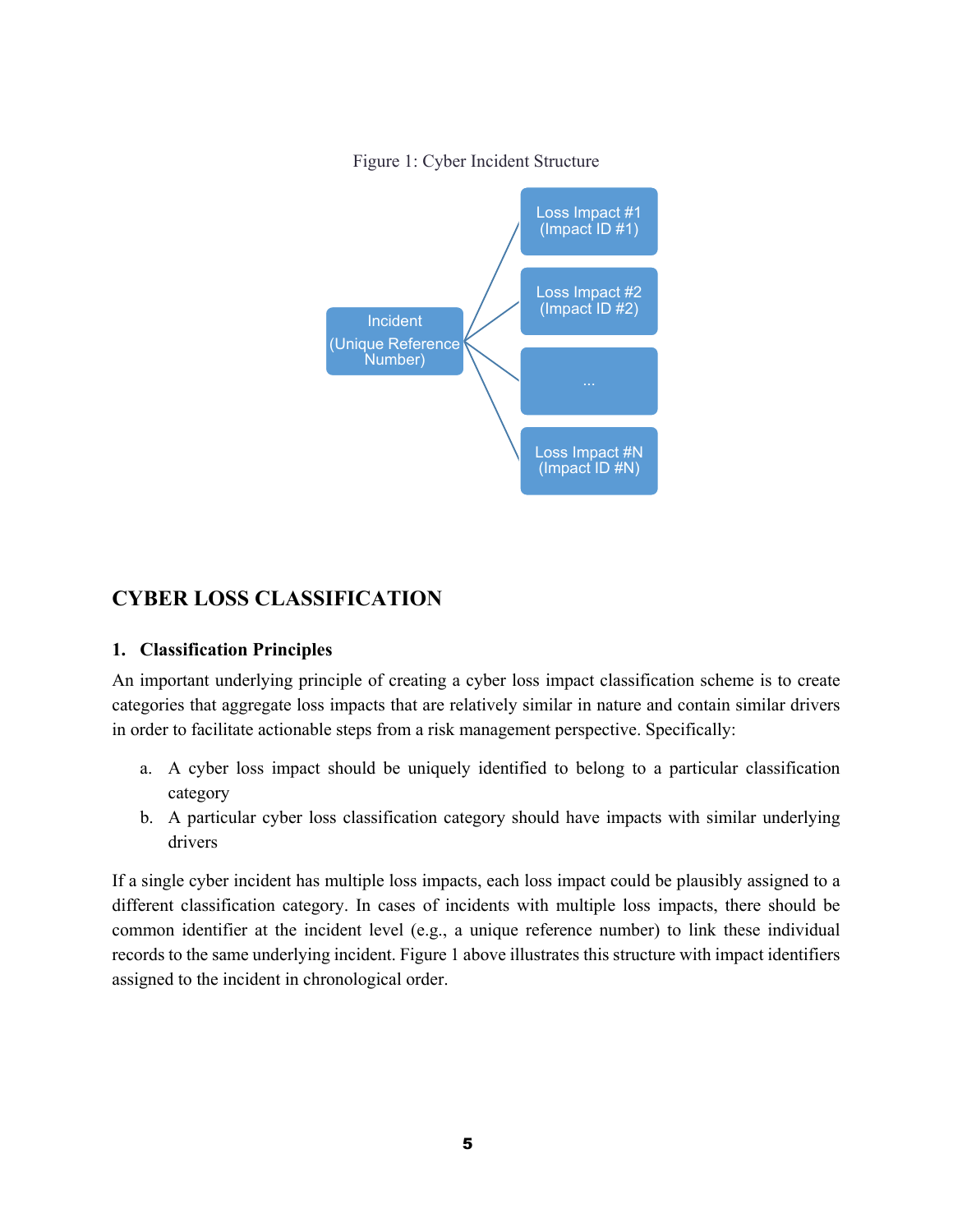Figure 1: Cyber Incident Structure

<span id="page-4-0"></span>

## **CYBER LOSS CLASSIFICATION**

#### **1. Classification Principles**

An important underlying principle of creating a cyber loss impact classification scheme is to create categories that aggregate loss impacts that are relatively similar in nature and contain similar drivers in order to facilitate actionable steps from a risk management perspective. Specifically:

- a. A cyber loss impact should be uniquely identified to belong to a particular classification category
- b. A particular cyber loss classification category should have impacts with similar underlying drivers

If a single cyber incident has multiple loss impacts, each loss impact could be plausibly assigned to a different classification category. In cases of incidents with multiple loss impacts, there should be common identifier at the incident level (e.g., a unique reference number) to link these individual records to the same underlying incident. [Figure 1](#page-4-0) above illustrates this structure with impact identifiers assigned to the incident in chronological order.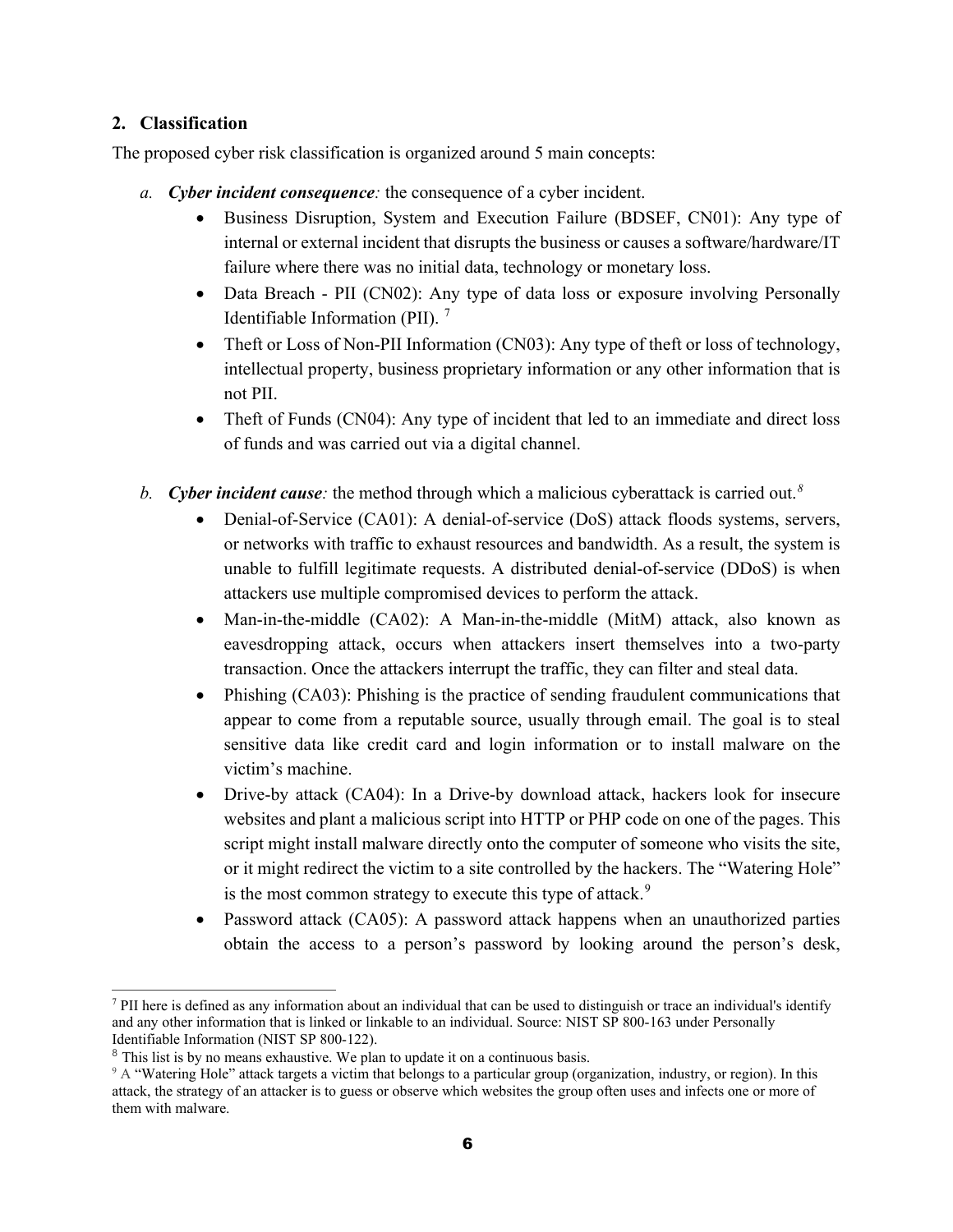#### **2. Classification**

The proposed cyber risk classification is organized around 5 main concepts:

- *a. Cyber incident consequence:* the consequence of a cyber incident.
	- Business Disruption, System and Execution Failure (BDSEF, CN01): Any type of internal or external incident that disrupts the business or causes a software/hardware/IT failure where there was no initial data, technology or monetary loss.
	- Data Breach PII (CN02): Any type of data loss or exposure involving Personally Identifiable Information (PII). [7](#page-5-0)
	- Theft or Loss of Non-PII Information  $(CN03)$ : Any type of theft or loss of technology, intellectual property, business proprietary information or any other information that is not PII.
	- Theft of Funds (CN04): Any type of incident that led to an immediate and direct loss of funds and was carried out via a digital channel.
- *b. Cyber incident cause:* the method through which a malicious cyberattack is carried out.*[8](#page-5-1)*
	- Denial-of-Service (CA01): A denial-of-service (DoS) attack floods systems, servers, or networks with traffic to exhaust resources and bandwidth. As a result, the system is unable to fulfill legitimate requests. A distributed denial-of-service (DDoS) is when attackers use multiple compromised devices to perform the attack.
	- Man-in-the-middle (CA02): A Man-in-the-middle (MitM) attack, also known as eavesdropping attack, occurs when attackers insert themselves into a two-party transaction. Once the attackers interrupt the traffic, they can filter and steal data.
	- Phishing (CA03): Phishing is the practice of sending fraudulent communications that appear to come from a reputable source, usually through email. The goal is to steal sensitive data like credit card and login information or to install malware on the victim's machine.
	- Drive-by attack (CA04): In a Drive-by download attack, hackers look for insecure websites and plant a malicious script into HTTP or PHP code on one of the pages. This script might install malware directly onto the computer of someone who visits the site, or it might redirect the victim to a site controlled by the hackers. The "Watering Hole" is the most common strategy to execute this type of attack.<sup>[9](#page-5-2)</sup>
	- Password attack (CA05): A password attack happens when an unauthorized parties obtain the access to a person's password by looking around the person's desk,

<span id="page-5-0"></span> $\overline{a}$ <sup>7</sup> PII here is defined as any information about an individual that can be used to distinguish or trace an individual's identify and any other information that is linked or linkable to an individual. Source: NIST SP 800-163 under Personally Identifiable Information (NIST SP 800-122).

<span id="page-5-1"></span><sup>&</sup>lt;sup>8</sup> This list is by no means exhaustive. We plan to update it on a continuous basis.

<span id="page-5-2"></span><sup>9</sup> A "Watering Hole" attack targets a victim that belongs to a particular group (organization, industry, or region). In this attack, the strategy of an attacker is to guess or observe which websites the group often uses and infects one or more of them with malware.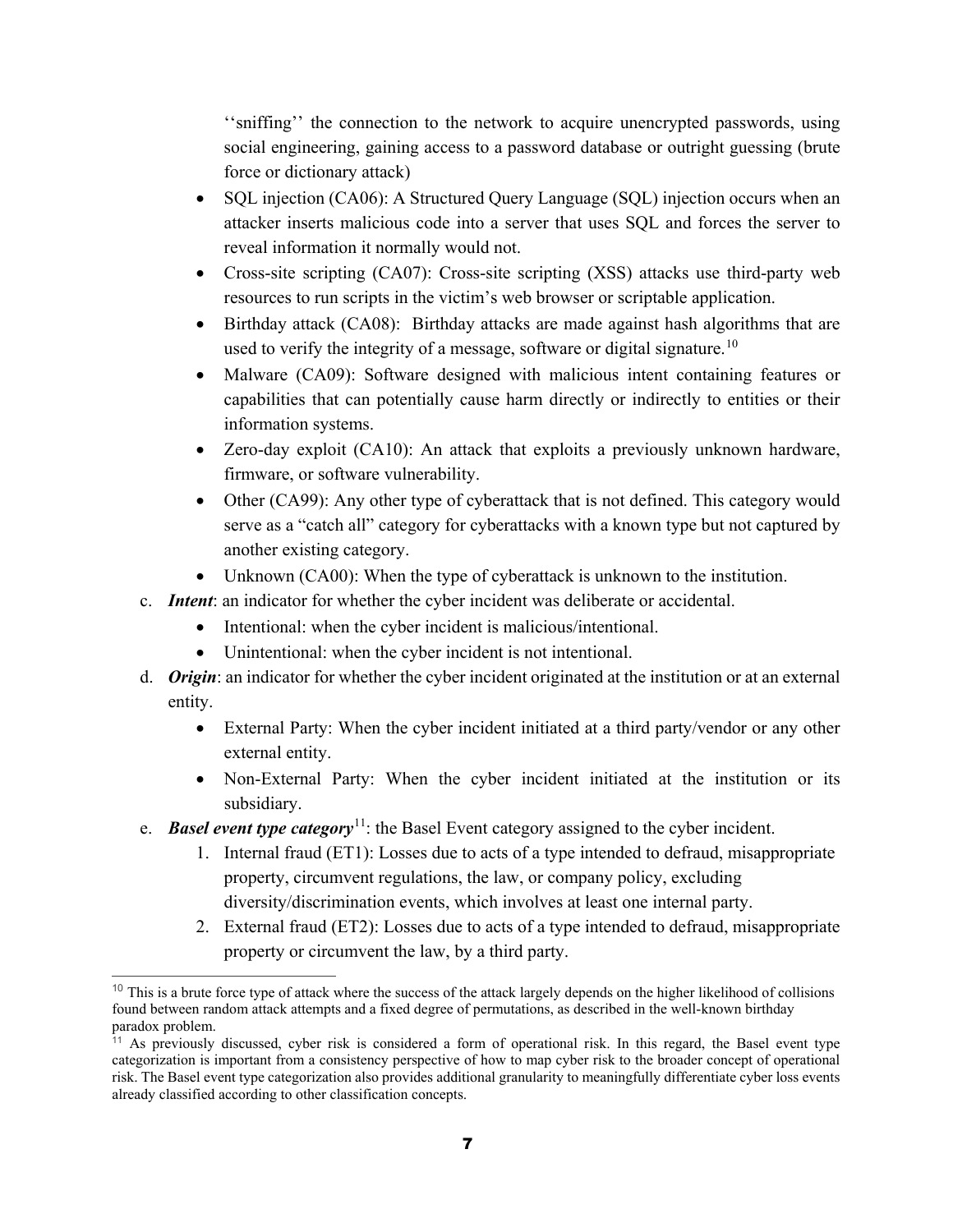''sniffing'' the connection to the network to acquire unencrypted passwords, using social engineering, gaining access to a password database or outright guessing (brute force or dictionary attack)

- SQL injection (CA06): A Structured Query Language (SQL) injection occurs when an attacker inserts malicious code into a server that uses SQL and forces the server to reveal information it normally would not.
- Cross-site scripting (CA07): Cross-site scripting (XSS) attacks use third-party web resources to run scripts in the victim's web browser or scriptable application.
- Birthday attack (CA08): Birthday attacks are made against hash algorithms that are used to verify the integrity of a message, software or digital signature.<sup>[10](#page-6-0)</sup>
- Malware (CA09): Software designed with malicious intent containing features or capabilities that can potentially cause harm directly or indirectly to entities or their information systems.
- Zero-day exploit (CA10): An attack that exploits a previously unknown hardware, firmware, or software vulnerability.
- Other (CA99): Any other type of cyberattack that is not defined. This category would serve as a "catch all" category for cyberattacks with a known type but not captured by another existing category.
- Unknown (CA00): When the type of cyberattack is unknown to the institution.
- c. *Intent*: an indicator for whether the cyber incident was deliberate or accidental.
	- Intentional: when the cyber incident is malicious/intentional.
	- Unintentional: when the cyber incident is not intentional.
- d. *Origin*: an indicator for whether the cyber incident originated at the institution or at an external entity.
	- External Party: When the cyber incident initiated at a third party/vendor or any other external entity.
	- Non-External Party: When the cyber incident initiated at the institution or its subsidiary.
- e. **Basel event type category**<sup>[11](#page-6-1)</sup>: the Basel Event category assigned to the cyber incident.
	- 1. Internal fraud (ET1): Losses due to acts of a type intended to defraud, misappropriate property, circumvent regulations, the law, or company policy, excluding diversity/discrimination events, which involves at least one internal party.
	- 2. External fraud (ET2): Losses due to acts of a type intended to defraud, misappropriate property or circumvent the law, by a third party.

<span id="page-6-0"></span> $10$  This is a brute force type of attack where the success of the attack largely depends on the higher likelihood of collisions found between random attack attempts and a fixed degree of permutations, as described in the well-known birthday paradox problem.

<span id="page-6-1"></span><sup>&</sup>lt;sup>11</sup> As previously discussed, cyber risk is considered a form of operational risk. In this regard, the Basel event type categorization is important from a consistency perspective of how to map cyber risk to the broader concept of operational risk. The Basel event type categorization also provides additional granularity to meaningfully differentiate cyber loss events already classified according to other classification concepts.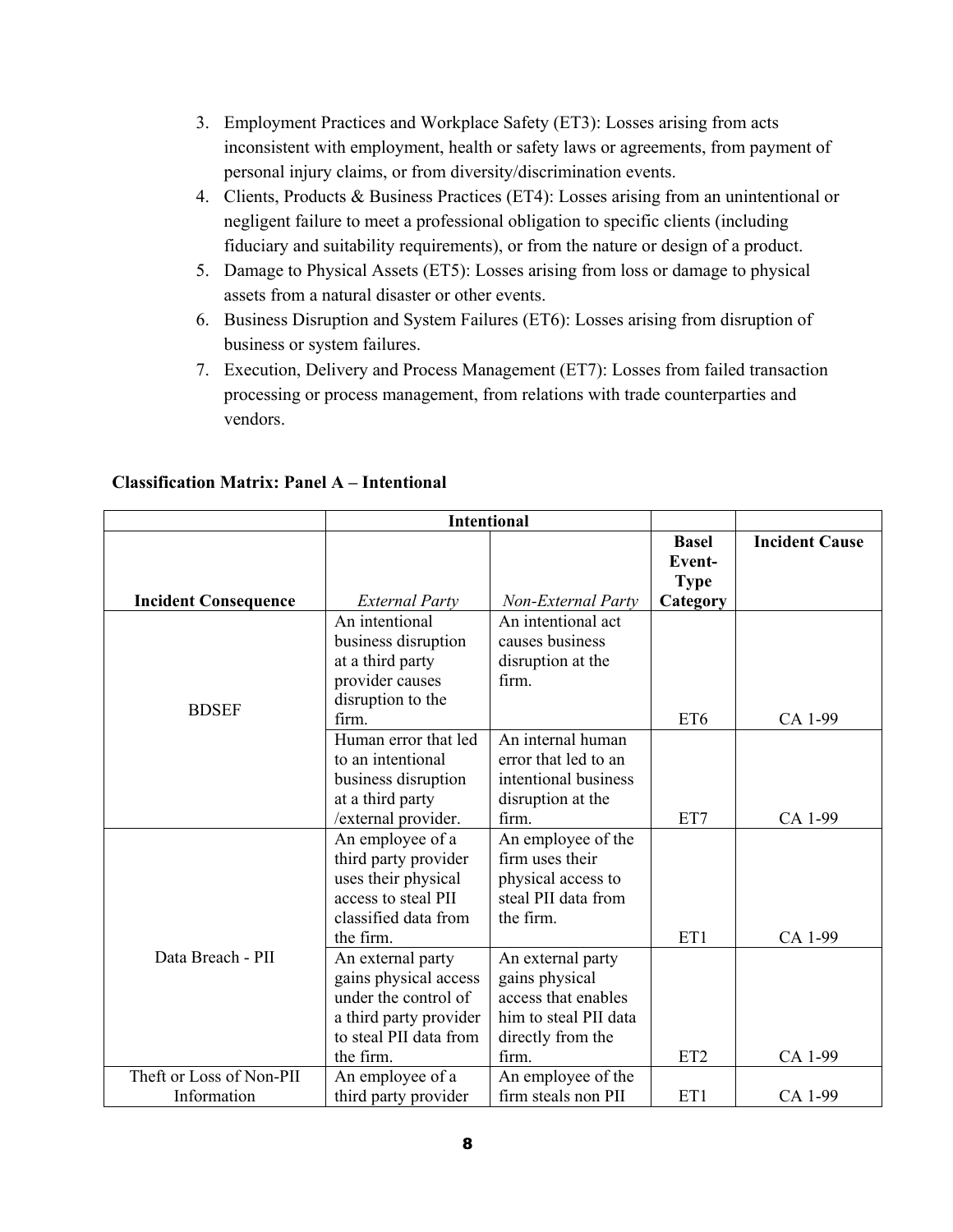- 3. Employment Practices and Workplace Safety (ET3): Losses arising from acts inconsistent with employment, health or safety laws or agreements, from payment of personal injury claims, or from diversity/discrimination events.
- 4. Clients, Products & Business Practices (ET4): Losses arising from an unintentional or negligent failure to meet a professional obligation to specific clients (including fiduciary and suitability requirements), or from the nature or design of a product.
- 5. Damage to Physical Assets (ET5): Losses arising from loss or damage to physical assets from a natural disaster or other events.
- 6. Business Disruption and System Failures (ET6): Losses arising from disruption of business or system failures.
- 7. Execution, Delivery and Process Management (ET7): Losses from failed transaction processing or process management, from relations with trade counterparties and vendors.

|                             | <b>Intentional</b>                                                                                                                  |                                                                                                                   |                                       |                       |
|-----------------------------|-------------------------------------------------------------------------------------------------------------------------------------|-------------------------------------------------------------------------------------------------------------------|---------------------------------------|-----------------------|
|                             |                                                                                                                                     |                                                                                                                   | <b>Basel</b><br>Event-<br><b>Type</b> | <b>Incident Cause</b> |
| <b>Incident Consequence</b> | <b>External Party</b>                                                                                                               | Non-External Party                                                                                                | Category                              |                       |
|                             | An intentional<br>business disruption<br>at a third party<br>provider causes<br>disruption to the                                   | An intentional act<br>causes business<br>disruption at the<br>firm.                                               |                                       |                       |
| <b>BDSEF</b>                | firm.                                                                                                                               |                                                                                                                   | ET6                                   | CA 1-99               |
|                             | Human error that led<br>to an intentional<br>business disruption<br>at a third party<br>/external provider.                         | An internal human<br>error that led to an<br>intentional business<br>disruption at the<br>firm.                   | ET7                                   | CA 1-99               |
|                             | An employee of a<br>third party provider<br>uses their physical<br>access to steal PII<br>classified data from<br>the firm.         | An employee of the<br>firm uses their<br>physical access to<br>steal PII data from<br>the firm.                   | ET1                                   | CA 1-99               |
| Data Breach - PII           | An external party<br>gains physical access<br>under the control of<br>a third party provider<br>to steal PII data from<br>the firm. | An external party<br>gains physical<br>access that enables<br>him to steal PII data<br>directly from the<br>firm. | ET <sub>2</sub>                       | CA 1-99               |
| Theft or Loss of Non-PII    | An employee of a                                                                                                                    | An employee of the                                                                                                |                                       |                       |
| Information                 | firm steals non PII<br>third party provider                                                                                         |                                                                                                                   | ET1                                   | CA 1-99               |

#### **Classification Matrix: Panel A – Intentional**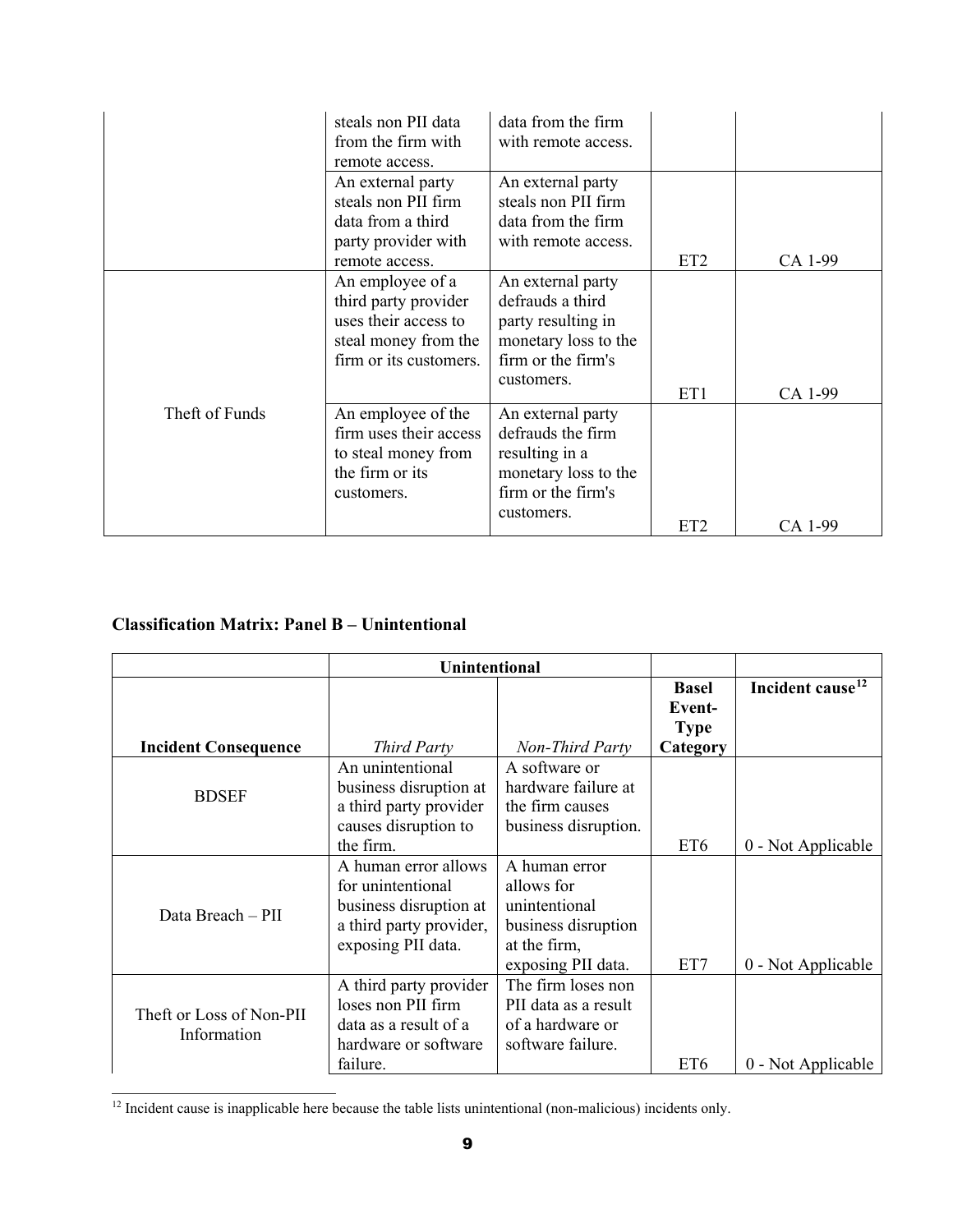|                | steals non PII data    | data from the firm   |                 |         |
|----------------|------------------------|----------------------|-----------------|---------|
|                | from the firm with     | with remote access.  |                 |         |
|                | remote access.         |                      |                 |         |
|                | An external party      | An external party    |                 |         |
|                | steals non PII firm    | steals non PII firm  |                 |         |
|                | data from a third      | data from the firm   |                 |         |
|                | party provider with    | with remote access.  |                 |         |
|                | remote access.         |                      | ET <sub>2</sub> | CA 1-99 |
|                | An employee of a       | An external party    |                 |         |
|                | third party provider   | defrauds a third     |                 |         |
|                | uses their access to   | party resulting in   |                 |         |
|                | steal money from the   | monetary loss to the |                 |         |
|                | firm or its customers. | firm or the firm's   |                 |         |
|                |                        | customers.           |                 |         |
|                |                        |                      | ET1             | CA 1-99 |
| Theft of Funds | An employee of the     | An external party    |                 |         |
|                | firm uses their access | defrauds the firm    |                 |         |
|                | to steal money from    | resulting in a       |                 |         |
|                | the firm or its        | monetary loss to the |                 |         |
|                | customers.             | firm or the firm's   |                 |         |
|                |                        | customers.           |                 |         |
|                |                        |                      | ET <sub>2</sub> | CA 1-99 |

### **Classification Matrix: Panel B – Unintentional**

|                                         | <b>Unintentional</b>    |                      |                 |                              |
|-----------------------------------------|-------------------------|----------------------|-----------------|------------------------------|
|                                         |                         |                      | <b>Basel</b>    | Incident cause <sup>12</sup> |
|                                         |                         |                      | Event-          |                              |
|                                         |                         |                      | <b>Type</b>     |                              |
| <b>Incident Consequence</b>             | <b>Third Party</b>      | Non-Third Party      | Category        |                              |
|                                         | An unintentional        | A software or        |                 |                              |
| <b>BDSEF</b>                            | business disruption at  | hardware failure at  |                 |                              |
|                                         | a third party provider  | the firm causes      |                 |                              |
|                                         | causes disruption to    | business disruption. |                 |                              |
|                                         | the firm.               |                      | ET <sub>6</sub> | 0 - Not Applicable           |
|                                         | A human error allows    | A human error        |                 |                              |
|                                         | for unintentional       | allows for           |                 |                              |
| Data Breach - PII                       | business disruption at  | unintentional        |                 |                              |
|                                         | a third party provider, | business disruption  |                 |                              |
|                                         | exposing PII data.      | at the firm,         |                 |                              |
|                                         |                         | exposing PII data.   | ET7             | 0 - Not Applicable           |
|                                         | A third party provider  | The firm loses non   |                 |                              |
| Theft or Loss of Non-PII<br>Information | loses non PII firm      | PII data as a result |                 |                              |
|                                         | data as a result of a   | of a hardware or     |                 |                              |
|                                         | hardware or software    | software failure.    |                 |                              |
|                                         | failure.                |                      | ET <sub>6</sub> | 0 - Not Applicable           |

<span id="page-8-0"></span> $\overline{a}$  $12$  Incident cause is inapplicable here because the table lists unintentional (non-malicious) incidents only.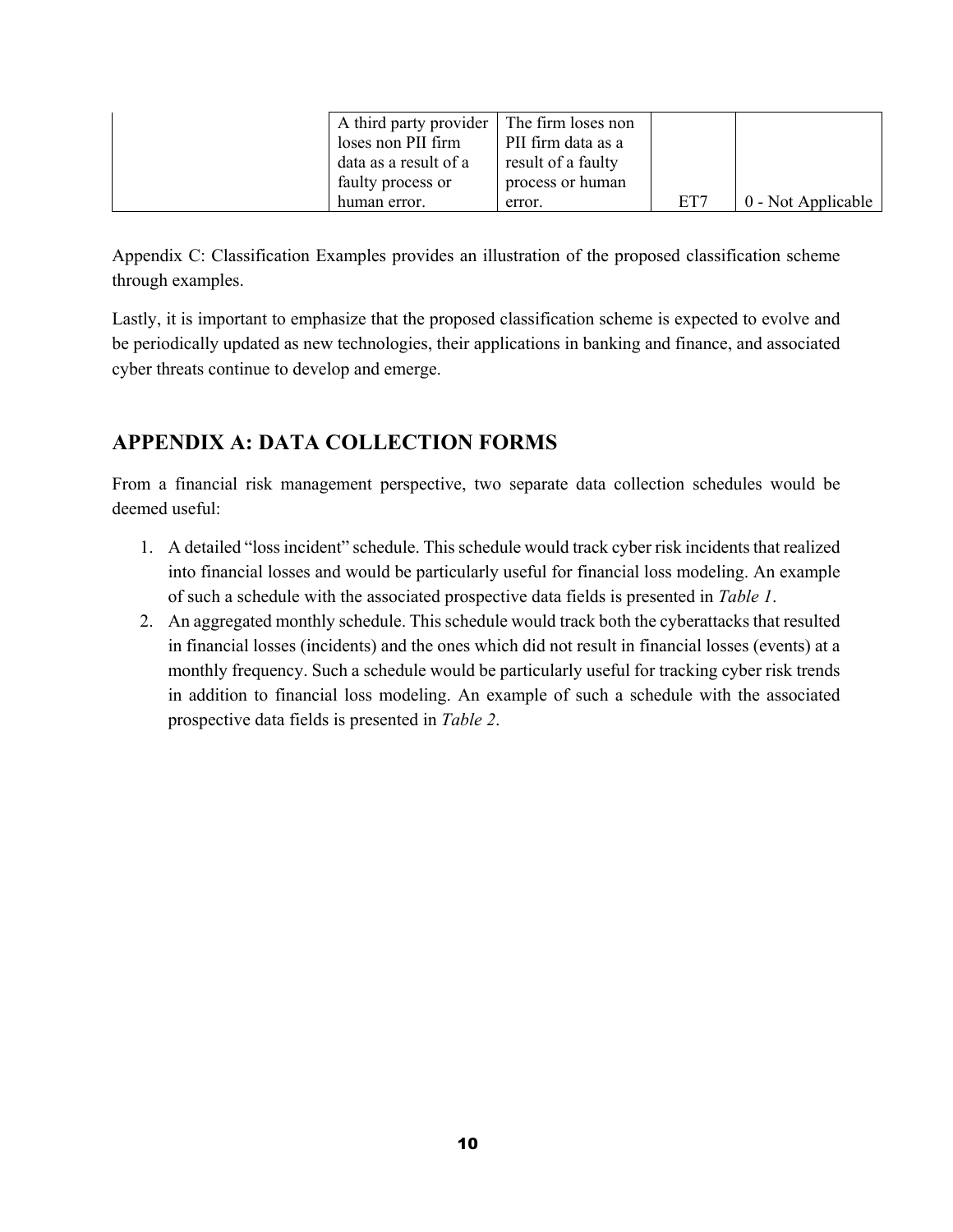| A third party provider   The firm loses non |                    |     |                    |
|---------------------------------------------|--------------------|-----|--------------------|
| loses non PII firm                          | PII firm data as a |     |                    |
| data as a result of a                       | result of a faulty |     |                    |
| faulty process or                           | process or human   |     |                    |
| human error.                                | error.             | ET7 | 0 - Not Applicable |

[Appendix C: Classification Examples](#page-26-0) provides an illustration of the proposed classification scheme through examples.

Lastly, it is important to emphasize that the proposed classification scheme is expected to evolve and be periodically updated as new technologies, their applications in banking and finance, and associated cyber threats continue to develop and emerge.

## **APPENDIX A: DATA COLLECTION FORMS**

From a financial risk management perspective, two separate data collection schedules would be deemed useful:

- 1. A detailed "loss incident" schedule. This schedule would track cyber risk incidents that realized into financial losses and would be particularly useful for financial loss modeling. An example of such a schedule with the associated prospective data fields is presented in *[Table 1](#page-10-0)*.
- 2. An aggregated monthly schedule. This schedule would track both the cyberattacks that resulted in financial losses (incidents) and the ones which did not result in financial losses (events) at a monthly frequency. Such a schedule would be particularly useful for tracking cyber risk trends in addition to financial loss modeling. An example of such a schedule with the associated prospective data fields is presented in *[Table 2](#page-15-0)*.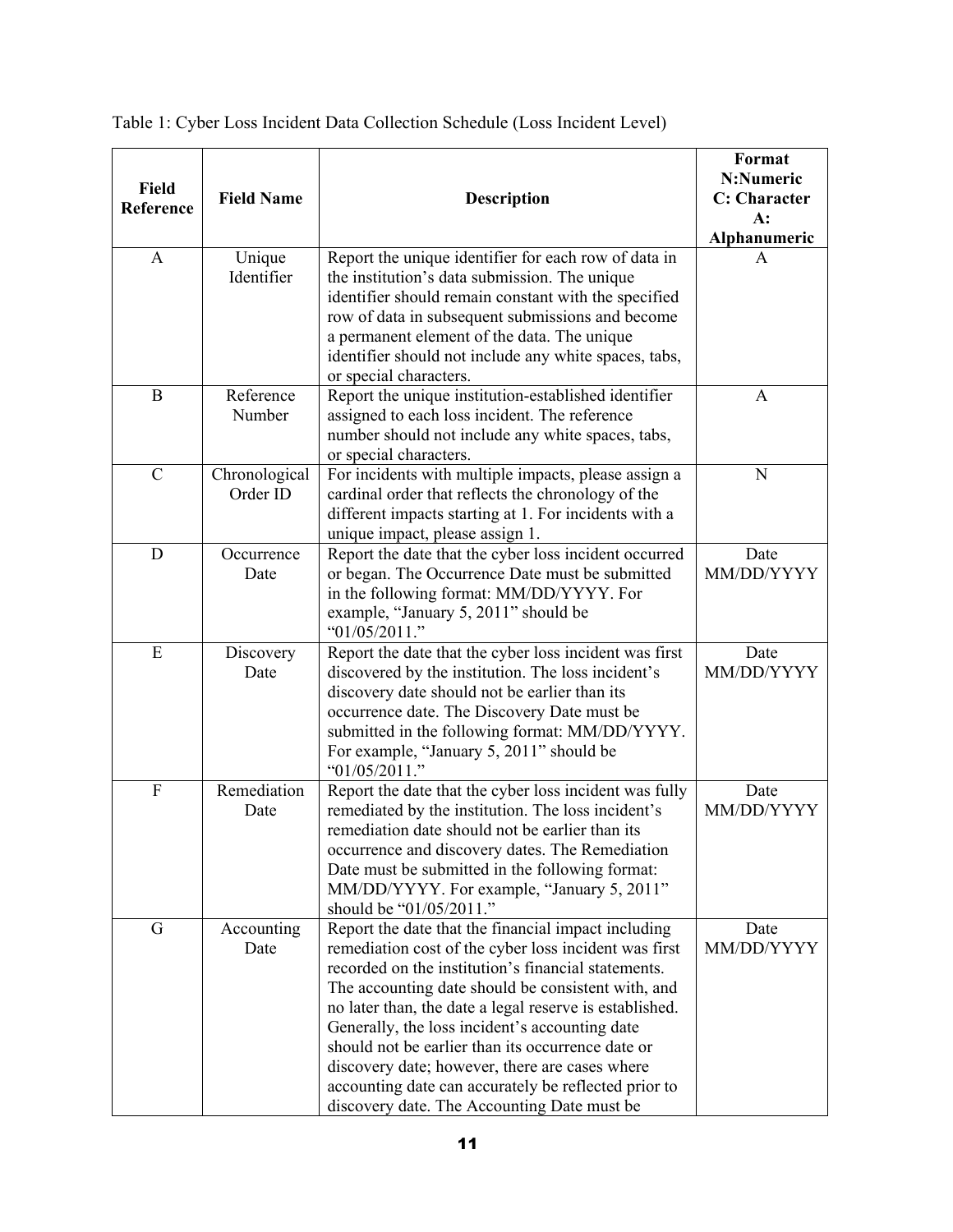| <b>Field</b><br>Reference | <b>Field Name</b>         | <b>Description</b>                                                                                                                                                                                                                                                                                                                                                                                                                                                                                                                                   | Format<br>N:Numeric<br><b>C:</b> Character<br>$A$ :<br>Alphanumeric |
|---------------------------|---------------------------|------------------------------------------------------------------------------------------------------------------------------------------------------------------------------------------------------------------------------------------------------------------------------------------------------------------------------------------------------------------------------------------------------------------------------------------------------------------------------------------------------------------------------------------------------|---------------------------------------------------------------------|
| A                         | Unique<br>Identifier      | Report the unique identifier for each row of data in<br>the institution's data submission. The unique<br>identifier should remain constant with the specified<br>row of data in subsequent submissions and become<br>a permanent element of the data. The unique<br>identifier should not include any white spaces, tabs,<br>or special characters.                                                                                                                                                                                                  | A                                                                   |
| $\bf{B}$                  | Reference<br>Number       | Report the unique institution-established identifier<br>assigned to each loss incident. The reference<br>number should not include any white spaces, tabs,<br>or special characters.                                                                                                                                                                                                                                                                                                                                                                 | A                                                                   |
| $\mathbf C$               | Chronological<br>Order ID | For incidents with multiple impacts, please assign a<br>cardinal order that reflects the chronology of the<br>different impacts starting at 1. For incidents with a<br>unique impact, please assign 1.                                                                                                                                                                                                                                                                                                                                               | N                                                                   |
| D                         | Occurrence<br>Date        | Report the date that the cyber loss incident occurred<br>or began. The Occurrence Date must be submitted<br>in the following format: MM/DD/YYYY. For<br>example, "January 5, 2011" should be<br>" $01/05/2011$ ."                                                                                                                                                                                                                                                                                                                                    | Date<br>MM/DD/YYYY                                                  |
| E                         | Discovery<br>Date         | Report the date that the cyber loss incident was first<br>discovered by the institution. The loss incident's<br>discovery date should not be earlier than its<br>occurrence date. The Discovery Date must be<br>submitted in the following format: MM/DD/YYYY.<br>For example, "January 5, 2011" should be<br>" $01/05/2011$ ."                                                                                                                                                                                                                      | Date<br>MM/DD/YYYY                                                  |
| $\mathbf F$               | Remediation<br>Date       | Report the date that the cyber loss incident was fully<br>remediated by the institution. The loss incident's<br>remediation date should not be earlier than its<br>occurrence and discovery dates. The Remediation<br>Date must be submitted in the following format:<br>MM/DD/YYYY. For example, "January 5, 2011"<br>should be "01/05/2011."                                                                                                                                                                                                       | Date<br>MM/DD/YYYY                                                  |
| $\mathbf G$               | Accounting<br>Date        | Report the date that the financial impact including<br>remediation cost of the cyber loss incident was first<br>recorded on the institution's financial statements.<br>The accounting date should be consistent with, and<br>no later than, the date a legal reserve is established.<br>Generally, the loss incident's accounting date<br>should not be earlier than its occurrence date or<br>discovery date; however, there are cases where<br>accounting date can accurately be reflected prior to<br>discovery date. The Accounting Date must be | Date<br>MM/DD/YYYY                                                  |

<span id="page-10-0"></span>

| Table 1: Cyber Loss Incident Data Collection Schedule (Loss Incident Level) |  |
|-----------------------------------------------------------------------------|--|
|                                                                             |  |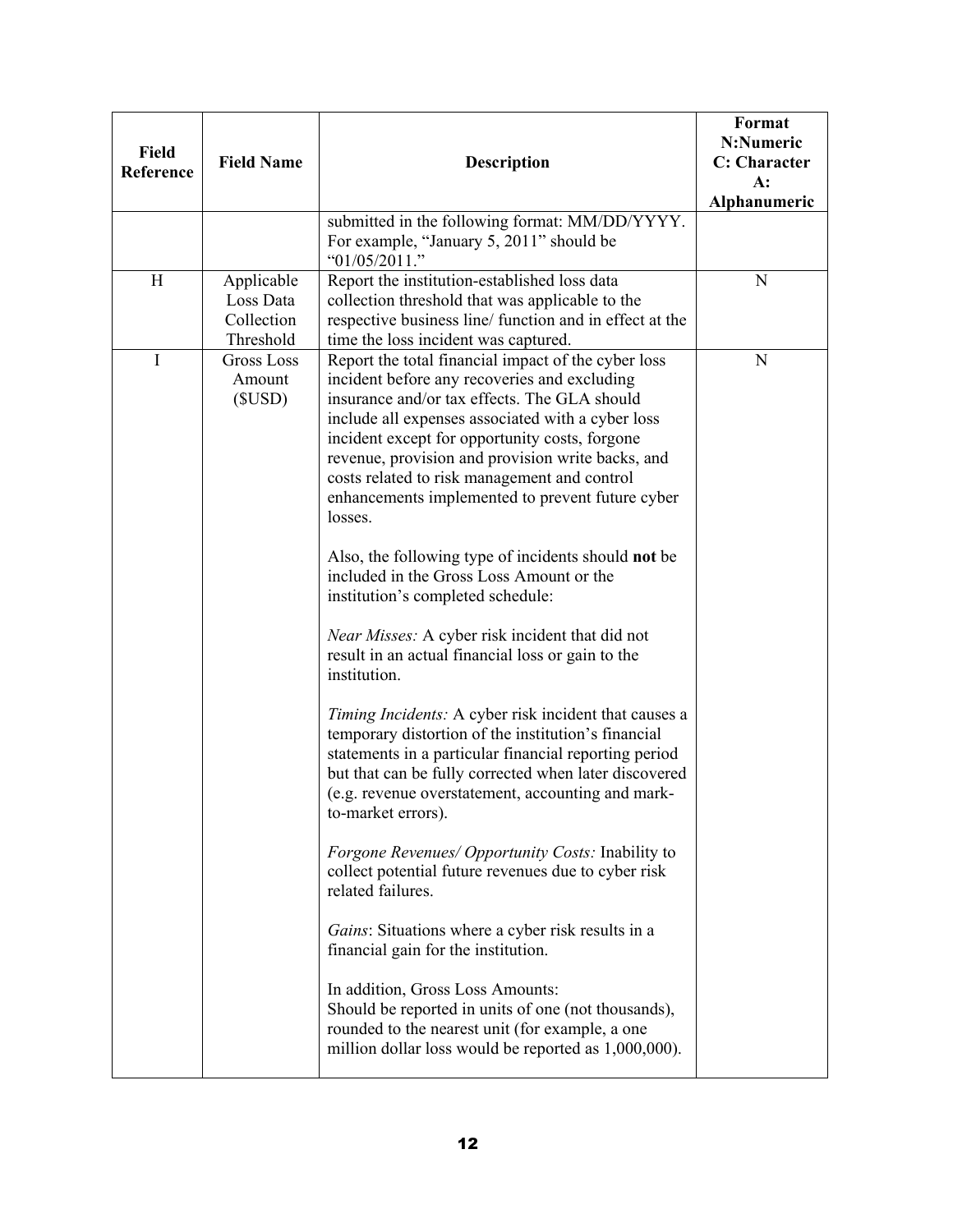| <b>Field</b><br><b>Reference</b> | <b>Field Name</b>                                  | <b>Description</b><br>submitted in the following format: MM/DD/YYYY.                                                                                                                                                                                                                                                                                                                                                                                                                                                                                                                                                                                                                                                                                                                                                                                                                                                                                                                                                                                                                                                                                                                                                                                                                                                                                                                                                                                  | Format<br>N:Numeric<br><b>C:</b> Character<br>$A$ :<br>Alphanumeric |
|----------------------------------|----------------------------------------------------|-------------------------------------------------------------------------------------------------------------------------------------------------------------------------------------------------------------------------------------------------------------------------------------------------------------------------------------------------------------------------------------------------------------------------------------------------------------------------------------------------------------------------------------------------------------------------------------------------------------------------------------------------------------------------------------------------------------------------------------------------------------------------------------------------------------------------------------------------------------------------------------------------------------------------------------------------------------------------------------------------------------------------------------------------------------------------------------------------------------------------------------------------------------------------------------------------------------------------------------------------------------------------------------------------------------------------------------------------------------------------------------------------------------------------------------------------------|---------------------------------------------------------------------|
|                                  |                                                    | For example, "January 5, 2011" should be<br>" $01/05/2011$ ."                                                                                                                                                                                                                                                                                                                                                                                                                                                                                                                                                                                                                                                                                                                                                                                                                                                                                                                                                                                                                                                                                                                                                                                                                                                                                                                                                                                         |                                                                     |
| H                                | Applicable<br>Loss Data<br>Collection<br>Threshold | Report the institution-established loss data<br>collection threshold that was applicable to the<br>respective business line/ function and in effect at the<br>time the loss incident was captured.                                                                                                                                                                                                                                                                                                                                                                                                                                                                                                                                                                                                                                                                                                                                                                                                                                                                                                                                                                                                                                                                                                                                                                                                                                                    | N                                                                   |
| $\mathbf I$                      | <b>Gross Loss</b><br>Amount<br>(SUSD)              | Report the total financial impact of the cyber loss<br>incident before any recoveries and excluding<br>insurance and/or tax effects. The GLA should<br>include all expenses associated with a cyber loss<br>incident except for opportunity costs, forgone<br>revenue, provision and provision write backs, and<br>costs related to risk management and control<br>enhancements implemented to prevent future cyber<br>losses.<br>Also, the following type of incidents should not be<br>included in the Gross Loss Amount or the<br>institution's completed schedule:<br>Near Misses: A cyber risk incident that did not<br>result in an actual financial loss or gain to the<br>institution.<br>Timing Incidents: A cyber risk incident that causes a<br>temporary distortion of the institution's financial<br>statements in a particular financial reporting period<br>but that can be fully corrected when later discovered<br>(e.g. revenue overstatement, accounting and mark-<br>to-market errors).<br><i>Forgone Revenues/ Opportunity Costs:</i> Inability to<br>collect potential future revenues due to cyber risk<br>related failures.<br>Gains: Situations where a cyber risk results in a<br>financial gain for the institution.<br>In addition, Gross Loss Amounts:<br>Should be reported in units of one (not thousands),<br>rounded to the nearest unit (for example, a one<br>million dollar loss would be reported as 1,000,000). | N                                                                   |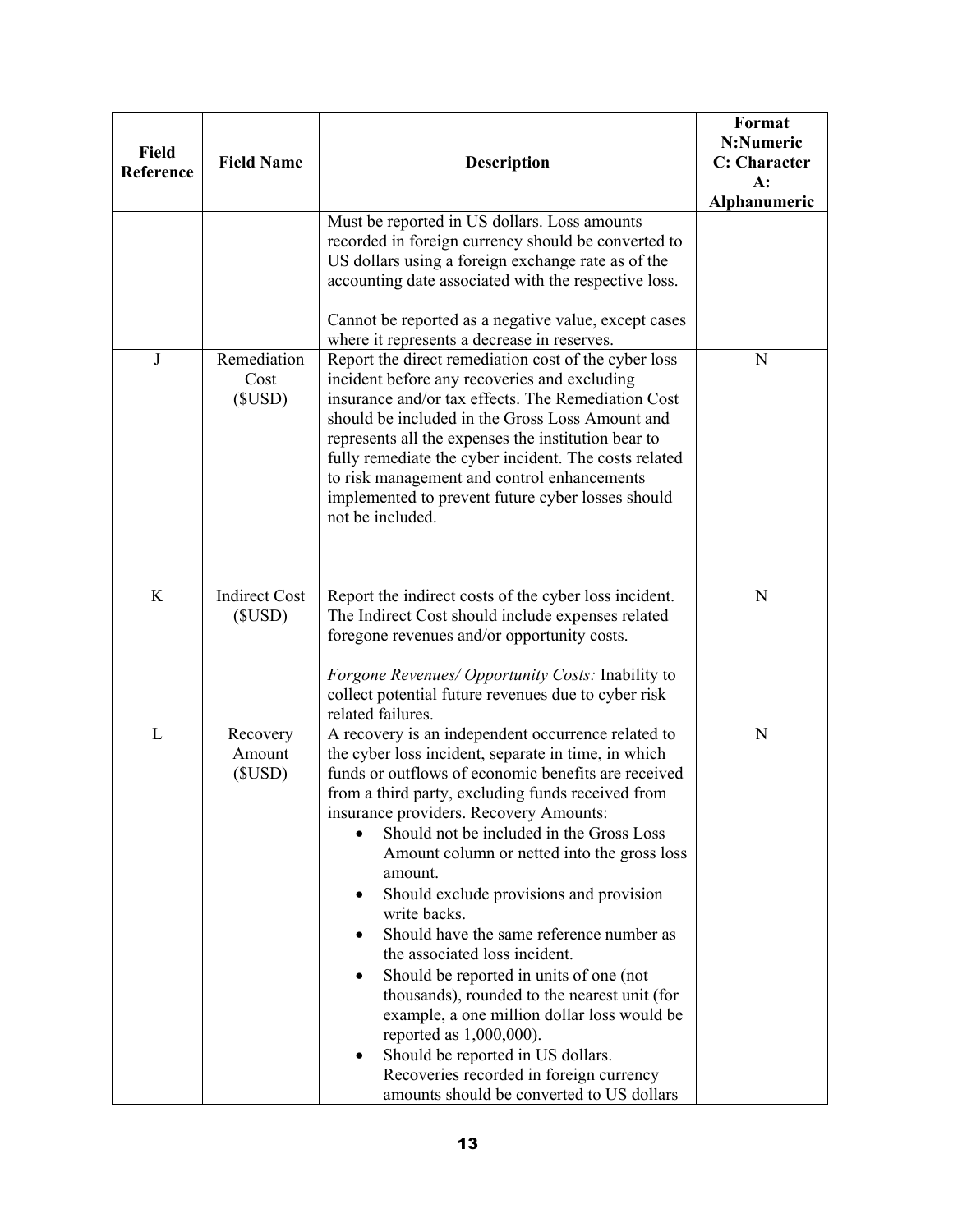| <b>Field</b><br>Reference | <b>Field Name</b>              | <b>Description</b><br>Must be reported in US dollars. Loss amounts                                                                                                                                                                                                                                                                                                                                                                                                                                                                                                                                                                                                                                                                                                                                                | Format<br>N:Numeric<br>C: Character<br>$A$ :<br>Alphanumeric |
|---------------------------|--------------------------------|-------------------------------------------------------------------------------------------------------------------------------------------------------------------------------------------------------------------------------------------------------------------------------------------------------------------------------------------------------------------------------------------------------------------------------------------------------------------------------------------------------------------------------------------------------------------------------------------------------------------------------------------------------------------------------------------------------------------------------------------------------------------------------------------------------------------|--------------------------------------------------------------|
|                           |                                | recorded in foreign currency should be converted to<br>US dollars using a foreign exchange rate as of the<br>accounting date associated with the respective loss.                                                                                                                                                                                                                                                                                                                                                                                                                                                                                                                                                                                                                                                 |                                                              |
|                           |                                | Cannot be reported as a negative value, except cases<br>where it represents a decrease in reserves.                                                                                                                                                                                                                                                                                                                                                                                                                                                                                                                                                                                                                                                                                                               |                                                              |
| $\bf J$                   | Remediation<br>Cost<br>(SUSD)  | Report the direct remediation cost of the cyber loss<br>incident before any recoveries and excluding<br>insurance and/or tax effects. The Remediation Cost<br>should be included in the Gross Loss Amount and<br>represents all the expenses the institution bear to<br>fully remediate the cyber incident. The costs related<br>to risk management and control enhancements<br>implemented to prevent future cyber losses should<br>not be included.                                                                                                                                                                                                                                                                                                                                                             | N                                                            |
| K                         | <b>Indirect Cost</b><br>(SUSD) | Report the indirect costs of the cyber loss incident.<br>The Indirect Cost should include expenses related<br>foregone revenues and/or opportunity costs.<br><i>Forgone Revenues/ Opportunity Costs:</i> Inability to<br>collect potential future revenues due to cyber risk<br>related failures.                                                                                                                                                                                                                                                                                                                                                                                                                                                                                                                 | N                                                            |
| L                         | Recovery<br>Amount<br>(SUSD)   | A recovery is an independent occurrence related to<br>the cyber loss incident, separate in time, in which<br>funds or outflows of economic benefits are received<br>from a third party, excluding funds received from<br>insurance providers. Recovery Amounts:<br>Should not be included in the Gross Loss<br>Amount column or netted into the gross loss<br>amount.<br>Should exclude provisions and provision<br>write backs.<br>Should have the same reference number as<br>the associated loss incident.<br>Should be reported in units of one (not<br>thousands), rounded to the nearest unit (for<br>example, a one million dollar loss would be<br>reported as $1,000,000$ .<br>Should be reported in US dollars.<br>Recoveries recorded in foreign currency<br>amounts should be converted to US dollars | N                                                            |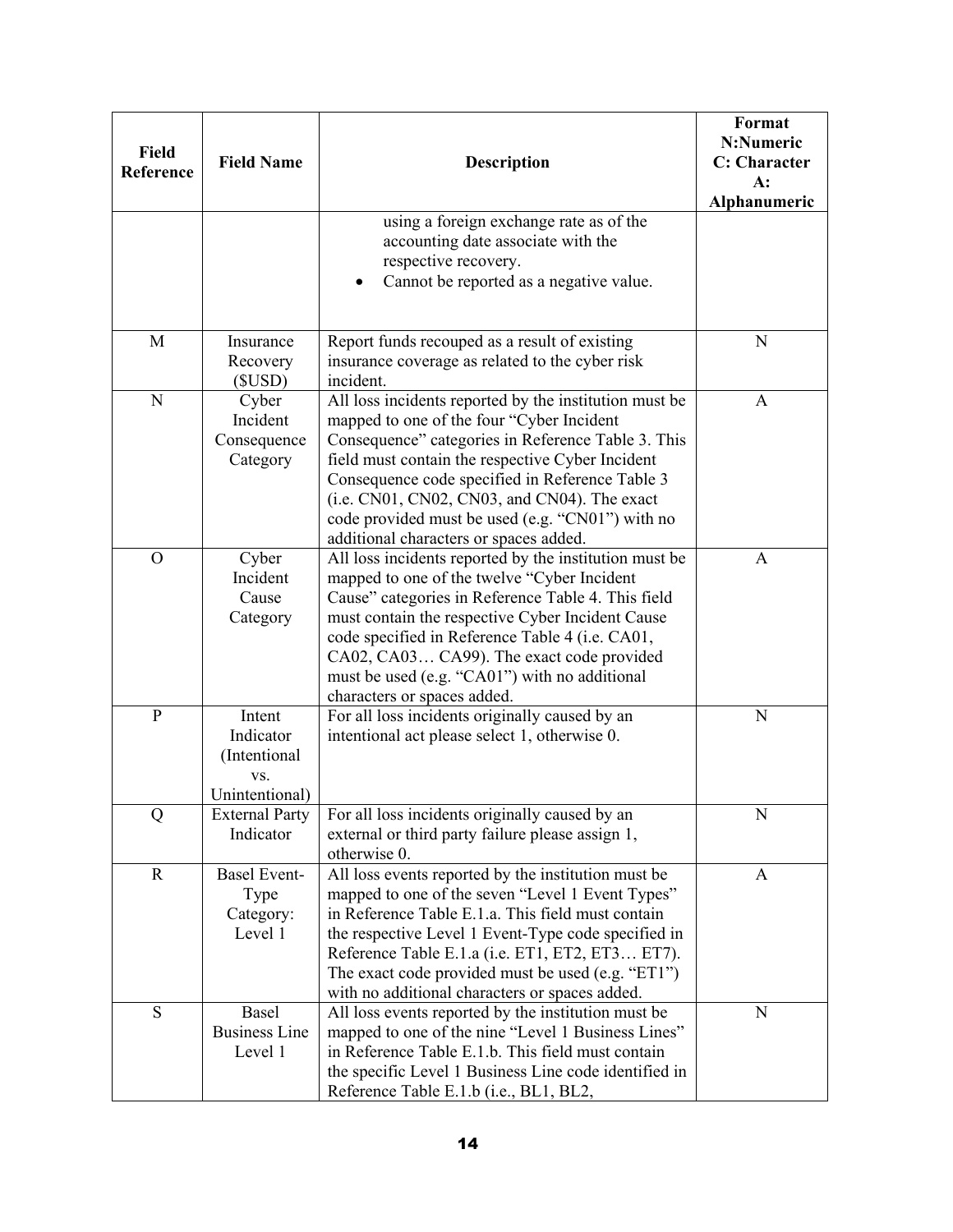| <b>Field</b><br>Reference | <b>Field Name</b>                                            | <b>Description</b>                                                                                                                                                                                                                                                                                                                                                                                             | Format<br>N:Numeric<br>C: Character<br>$A$ :<br>Alphanumeric |
|---------------------------|--------------------------------------------------------------|----------------------------------------------------------------------------------------------------------------------------------------------------------------------------------------------------------------------------------------------------------------------------------------------------------------------------------------------------------------------------------------------------------------|--------------------------------------------------------------|
|                           |                                                              | using a foreign exchange rate as of the<br>accounting date associate with the<br>respective recovery.<br>Cannot be reported as a negative value.                                                                                                                                                                                                                                                               |                                                              |
| M                         | Insurance<br>Recovery<br>(SUSD)                              | Report funds recouped as a result of existing<br>insurance coverage as related to the cyber risk<br>incident.                                                                                                                                                                                                                                                                                                  | N                                                            |
| $\mathbf N$               | Cyber<br>Incident<br>Consequence<br>Category                 | All loss incidents reported by the institution must be<br>mapped to one of the four "Cyber Incident<br>Consequence" categories in Reference Table 3. This<br>field must contain the respective Cyber Incident<br>Consequence code specified in Reference Table 3<br>(i.e. CN01, CN02, CN03, and CN04). The exact<br>code provided must be used (e.g. "CN01") with no<br>additional characters or spaces added. | A                                                            |
| $\Omega$                  | Cyber<br>Incident<br>Cause<br>Category                       | All loss incidents reported by the institution must be<br>mapped to one of the twelve "Cyber Incident<br>Cause" categories in Reference Table 4. This field<br>must contain the respective Cyber Incident Cause<br>code specified in Reference Table 4 (i.e. CA01,<br>CA02, CA03 CA99). The exact code provided<br>must be used (e.g. "CA01") with no additional<br>characters or spaces added.                | A                                                            |
| $\mathbf{P}$              | Intent<br>Indicator<br>(Intentional<br>VS.<br>Unintentional) | For all loss incidents originally caused by an<br>intentional act please select 1, otherwise 0.                                                                                                                                                                                                                                                                                                                | N                                                            |
| Q                         | <b>External Party</b><br>Indicator                           | For all loss incidents originally caused by an<br>external or third party failure please assign 1,<br>otherwise 0.                                                                                                                                                                                                                                                                                             | N                                                            |
| $\mathbf R$               | <b>Basel Event-</b><br>Type<br>Category:<br>Level 1          | All loss events reported by the institution must be<br>mapped to one of the seven "Level 1 Event Types"<br>in Reference Table E.1.a. This field must contain<br>the respective Level 1 Event-Type code specified in<br>Reference Table E.1.a (i.e. ET1, ET2, ET3 ET7).<br>The exact code provided must be used (e.g. "ET1")<br>with no additional characters or spaces added.                                  | $\mathbf{A}$                                                 |
| S                         | Basel<br><b>Business Line</b><br>Level 1                     | All loss events reported by the institution must be<br>mapped to one of the nine "Level 1 Business Lines"<br>in Reference Table E.1.b. This field must contain<br>the specific Level 1 Business Line code identified in<br>Reference Table E.1.b (i.e., BL1, BL2,                                                                                                                                              | N                                                            |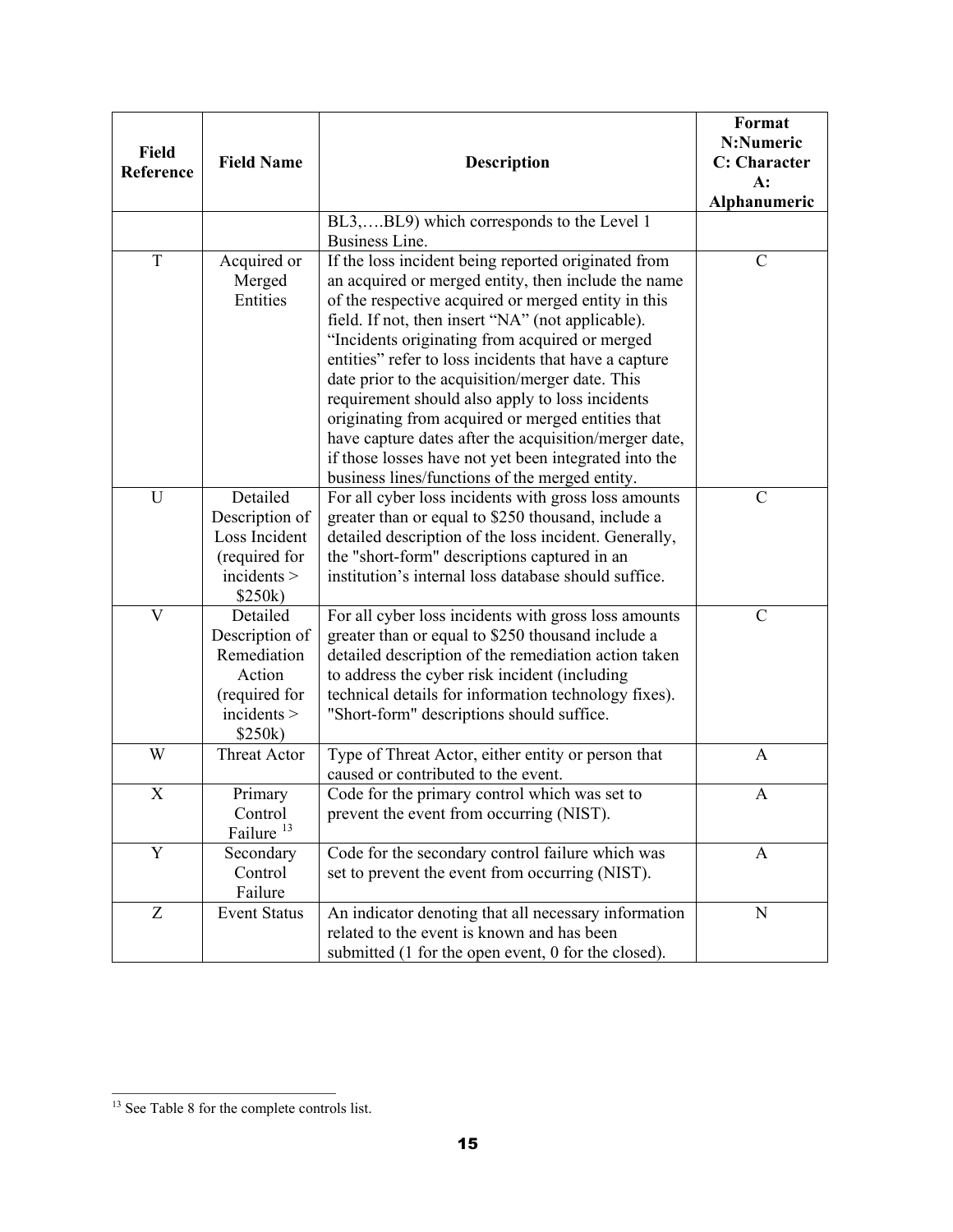| Field<br>Reference | <b>Field Name</b>                                                                              | <b>Description</b>                                                                                                                                                                                                                                                                                                                                                                                                                                                                                                                                                                                                                                               | Format<br>N:Numeric<br>C: Character<br>$A$ :<br>Alphanumeric |
|--------------------|------------------------------------------------------------------------------------------------|------------------------------------------------------------------------------------------------------------------------------------------------------------------------------------------------------------------------------------------------------------------------------------------------------------------------------------------------------------------------------------------------------------------------------------------------------------------------------------------------------------------------------------------------------------------------------------------------------------------------------------------------------------------|--------------------------------------------------------------|
|                    |                                                                                                | BL3,BL9) which corresponds to the Level 1<br>Business Line.                                                                                                                                                                                                                                                                                                                                                                                                                                                                                                                                                                                                      |                                                              |
| T                  | Acquired or<br>Merged<br>Entities                                                              | If the loss incident being reported originated from<br>an acquired or merged entity, then include the name<br>of the respective acquired or merged entity in this<br>field. If not, then insert "NA" (not applicable).<br>"Incidents originating from acquired or merged<br>entities" refer to loss incidents that have a capture<br>date prior to the acquisition/merger date. This<br>requirement should also apply to loss incidents<br>originating from acquired or merged entities that<br>have capture dates after the acquisition/merger date,<br>if those losses have not yet been integrated into the<br>business lines/functions of the merged entity. | $\mathcal{C}$                                                |
| U                  | Detailed<br>Description of<br>Loss Incident<br>(required for<br>incidents<br>\$250k)           | For all cyber loss incidents with gross loss amounts<br>greater than or equal to \$250 thousand, include a<br>detailed description of the loss incident. Generally,<br>the "short-form" descriptions captured in an<br>institution's internal loss database should suffice.                                                                                                                                                                                                                                                                                                                                                                                      | $\mathcal{C}$                                                |
| V                  | Detailed<br>Description of<br>Remediation<br>Action<br>(required for<br>incidents ><br>\$250k) | For all cyber loss incidents with gross loss amounts<br>greater than or equal to \$250 thousand include a<br>detailed description of the remediation action taken<br>to address the cyber risk incident (including<br>technical details for information technology fixes).<br>"Short-form" descriptions should suffice.                                                                                                                                                                                                                                                                                                                                          | $\mathcal{C}$                                                |
| W                  | <b>Threat Actor</b>                                                                            | Type of Threat Actor, either entity or person that<br>caused or contributed to the event.                                                                                                                                                                                                                                                                                                                                                                                                                                                                                                                                                                        | A                                                            |
| X                  | Primary<br>Control<br>Failure <sup>13</sup>                                                    | Code for the primary control which was set to<br>prevent the event from occurring (NIST).                                                                                                                                                                                                                                                                                                                                                                                                                                                                                                                                                                        | A                                                            |
| Y                  | Secondary<br>Control<br>Failure                                                                | Code for the secondary control failure which was<br>set to prevent the event from occurring (NIST).                                                                                                                                                                                                                                                                                                                                                                                                                                                                                                                                                              | A                                                            |
| Z                  | <b>Event Status</b>                                                                            | An indicator denoting that all necessary information<br>related to the event is known and has been<br>submitted (1 for the open event, 0 for the closed).                                                                                                                                                                                                                                                                                                                                                                                                                                                                                                        | N                                                            |

<span id="page-14-0"></span> $\overline{a}$ <sup>13</sup> See Table 8 for the complete controls list.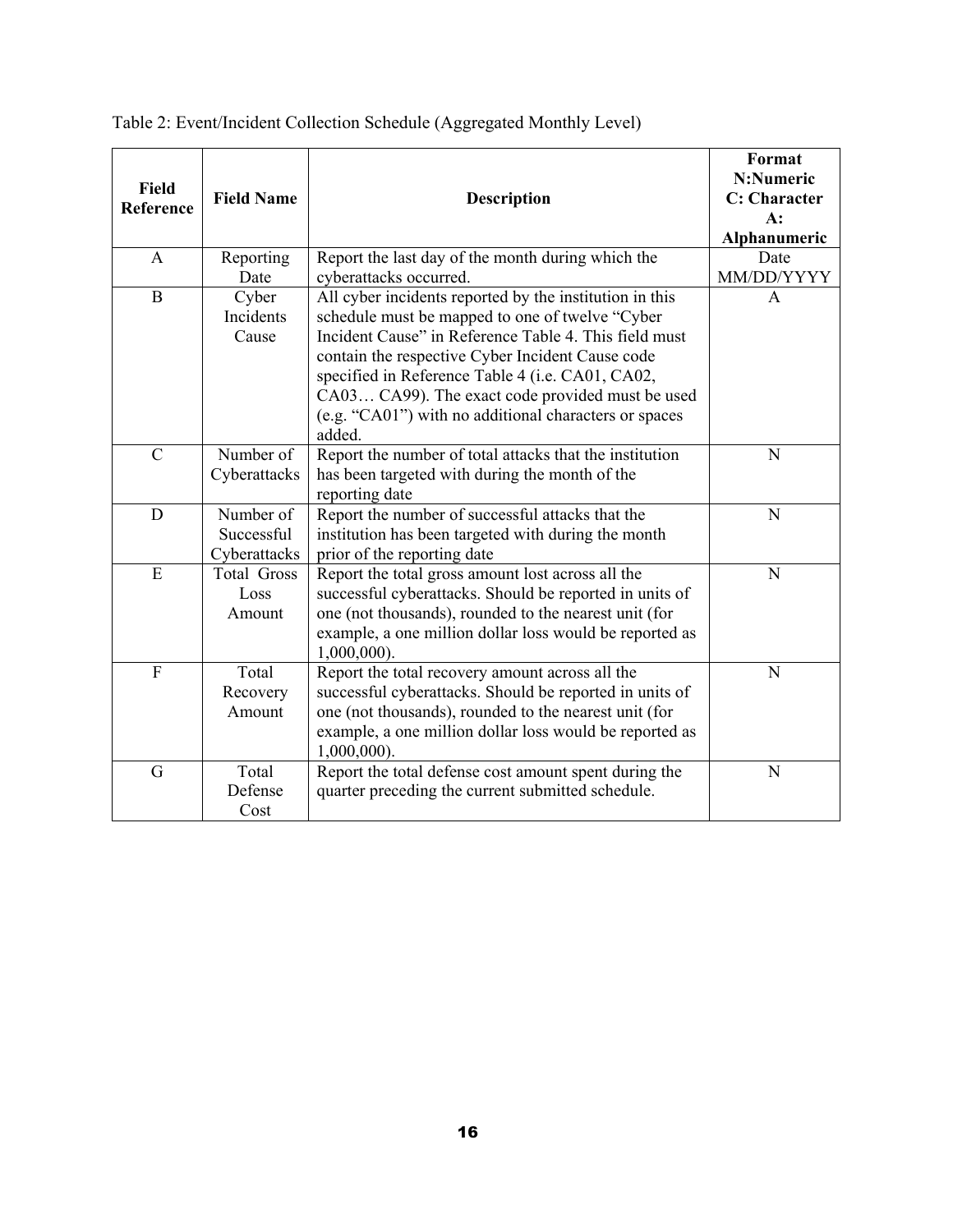| <b>Field</b><br>Reference | <b>Field Name</b>                       | <b>Description</b>                                                                                                                                                                                                                                                                                                                                                                                 | Format<br>N:Numeric<br><b>C:</b> Character<br>$A$ :<br>Alphanumeric |
|---------------------------|-----------------------------------------|----------------------------------------------------------------------------------------------------------------------------------------------------------------------------------------------------------------------------------------------------------------------------------------------------------------------------------------------------------------------------------------------------|---------------------------------------------------------------------|
| A                         | Reporting<br>Date                       | Report the last day of the month during which the<br>cyberattacks occurred.                                                                                                                                                                                                                                                                                                                        | Date<br>MM/DD/YYYY                                                  |
| $\mathbf{B}$              | Cyber<br>Incidents<br>Cause             | All cyber incidents reported by the institution in this<br>schedule must be mapped to one of twelve "Cyber<br>Incident Cause" in Reference Table 4. This field must<br>contain the respective Cyber Incident Cause code<br>specified in Reference Table 4 (i.e. CA01, CA02,<br>CA03 CA99). The exact code provided must be used<br>(e.g. "CA01") with no additional characters or spaces<br>added. | $\mathsf{A}$                                                        |
| $\mathsf{C}$              | Number of<br>Cyberattacks               | Report the number of total attacks that the institution<br>has been targeted with during the month of the<br>reporting date                                                                                                                                                                                                                                                                        | N                                                                   |
| D                         | Number of<br>Successful<br>Cyberattacks | Report the number of successful attacks that the<br>institution has been targeted with during the month<br>prior of the reporting date                                                                                                                                                                                                                                                             | N                                                                   |
| E                         | <b>Total Gross</b><br>Loss<br>Amount    | Report the total gross amount lost across all the<br>successful cyberattacks. Should be reported in units of<br>one (not thousands), rounded to the nearest unit (for<br>example, a one million dollar loss would be reported as<br>$1,000,000$ ).                                                                                                                                                 | N                                                                   |
| $\mathbf{F}$              | Total<br>Recovery<br>Amount             | Report the total recovery amount across all the<br>successful cyberattacks. Should be reported in units of<br>one (not thousands), rounded to the nearest unit (for<br>example, a one million dollar loss would be reported as<br>$1,000,000$ ).                                                                                                                                                   | N                                                                   |
| G                         | Total<br>Defense<br>Cost                | Report the total defense cost amount spent during the<br>quarter preceding the current submitted schedule.                                                                                                                                                                                                                                                                                         | N                                                                   |

<span id="page-15-0"></span>Table 2: Event/Incident Collection Schedule (Aggregated Monthly Level)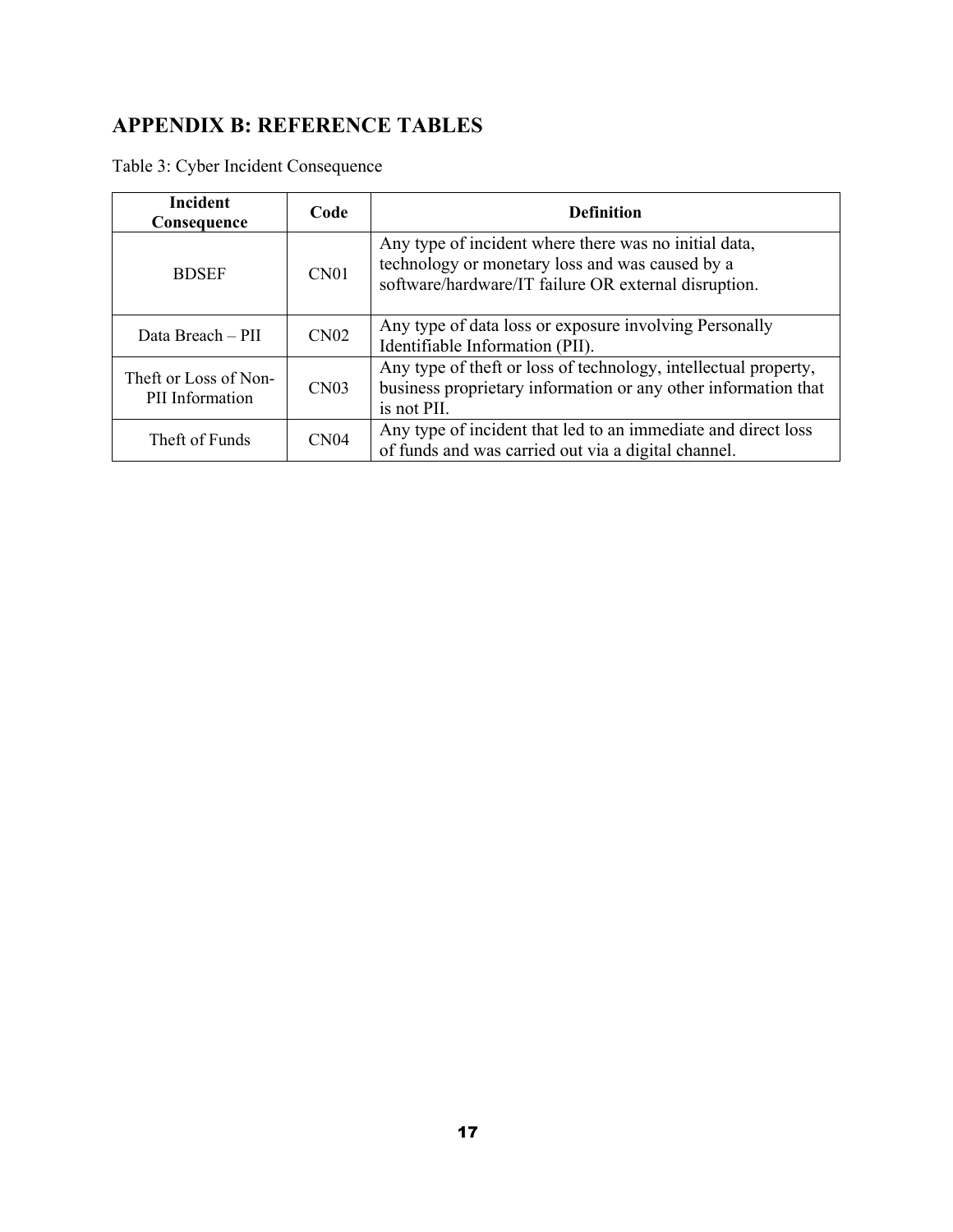# **APPENDIX B: REFERENCE TABLES**

Table 3: Cyber Incident Consequence

| <b>Incident</b><br>Consequence           | Code             | <b>Definition</b>                                                                                                                                                |
|------------------------------------------|------------------|------------------------------------------------------------------------------------------------------------------------------------------------------------------|
| <b>BDSEF</b>                             | CN <sub>01</sub> | Any type of incident where there was no initial data,<br>technology or monetary loss and was caused by a<br>software/hardware/IT failure OR external disruption. |
| Data Breach – PII                        | CN <sub>02</sub> | Any type of data loss or exposure involving Personally<br>Identifiable Information (PII).                                                                        |
| Theft or Loss of Non-<br>PII Information | CN <sub>03</sub> | Any type of theft or loss of technology, intellectual property,<br>business proprietary information or any other information that<br>is not PII.                 |
| Theft of Funds                           | CN <sub>04</sub> | Any type of incident that led to an immediate and direct loss<br>of funds and was carried out via a digital channel.                                             |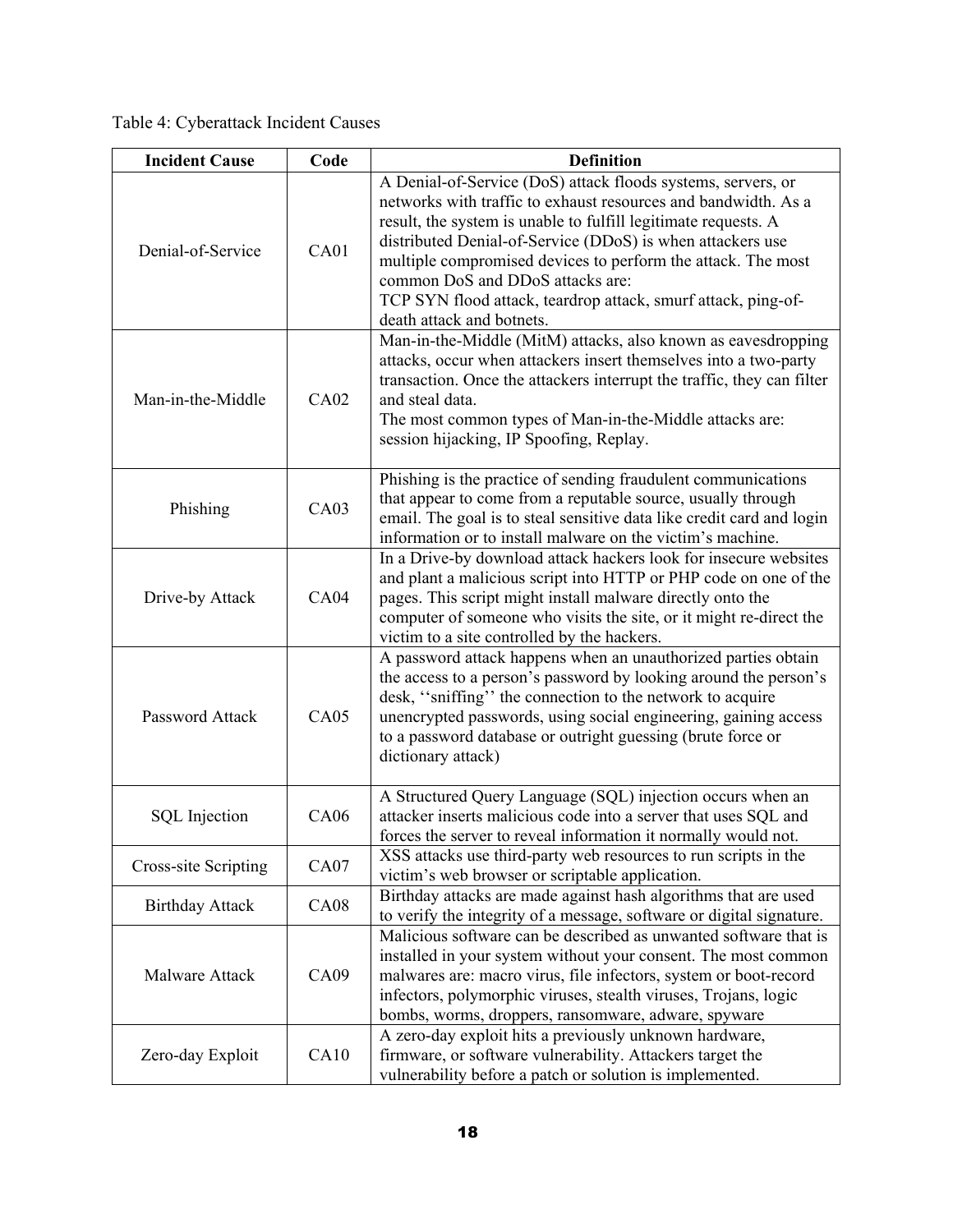Table 4: Cyberattack Incident Causes

| <b>Incident Cause</b>  | Code             | <b>Definition</b>                                                                                                                                                                                                                                                                                                                                                                                                                                                |
|------------------------|------------------|------------------------------------------------------------------------------------------------------------------------------------------------------------------------------------------------------------------------------------------------------------------------------------------------------------------------------------------------------------------------------------------------------------------------------------------------------------------|
| Denial-of-Service      | CA01             | A Denial-of-Service (DoS) attack floods systems, servers, or<br>networks with traffic to exhaust resources and bandwidth. As a<br>result, the system is unable to fulfill legitimate requests. A<br>distributed Denial-of-Service (DDoS) is when attackers use<br>multiple compromised devices to perform the attack. The most<br>common DoS and DDoS attacks are:<br>TCP SYN flood attack, teardrop attack, smurf attack, ping-of-<br>death attack and botnets. |
| Man-in-the-Middle      | CA02             | Man-in-the-Middle (MitM) attacks, also known as eavesdropping<br>attacks, occur when attackers insert themselves into a two-party<br>transaction. Once the attackers interrupt the traffic, they can filter<br>and steal data.<br>The most common types of Man-in-the-Middle attacks are:<br>session hijacking, IP Spoofing, Replay.                                                                                                                             |
| Phishing               | CA03             | Phishing is the practice of sending fraudulent communications<br>that appear to come from a reputable source, usually through<br>email. The goal is to steal sensitive data like credit card and login<br>information or to install malware on the victim's machine.                                                                                                                                                                                             |
| Drive-by Attack        | <b>CA04</b>      | In a Drive-by download attack hackers look for insecure websites<br>and plant a malicious script into HTTP or PHP code on one of the<br>pages. This script might install malware directly onto the<br>computer of someone who visits the site, or it might re-direct the<br>victim to a site controlled by the hackers.                                                                                                                                          |
| Password Attack        | CA05             | A password attack happens when an unauthorized parties obtain<br>the access to a person's password by looking around the person's<br>desk, "sniffing" the connection to the network to acquire<br>unencrypted passwords, using social engineering, gaining access<br>to a password database or outright guessing (brute force or<br>dictionary attack)                                                                                                           |
| <b>SQL</b> Injection   | <b>CA06</b>      | A Structured Query Language (SQL) injection occurs when an<br>attacker inserts malicious code into a server that uses SQL and<br>forces the server to reveal information it normally would not.                                                                                                                                                                                                                                                                  |
| Cross-site Scripting   | CA07             | XSS attacks use third-party web resources to run scripts in the<br>victim's web browser or scriptable application.                                                                                                                                                                                                                                                                                                                                               |
| <b>Birthday Attack</b> | CA <sub>08</sub> | Birthday attacks are made against hash algorithms that are used<br>to verify the integrity of a message, software or digital signature.                                                                                                                                                                                                                                                                                                                          |
| Malware Attack         | CA09             | Malicious software can be described as unwanted software that is<br>installed in your system without your consent. The most common<br>malwares are: macro virus, file infectors, system or boot-record<br>infectors, polymorphic viruses, stealth viruses, Trojans, logic<br>bombs, worms, droppers, ransomware, adware, spyware                                                                                                                                 |
| Zero-day Exploit       | CA10             | A zero-day exploit hits a previously unknown hardware,<br>firmware, or software vulnerability. Attackers target the<br>vulnerability before a patch or solution is implemented.                                                                                                                                                                                                                                                                                  |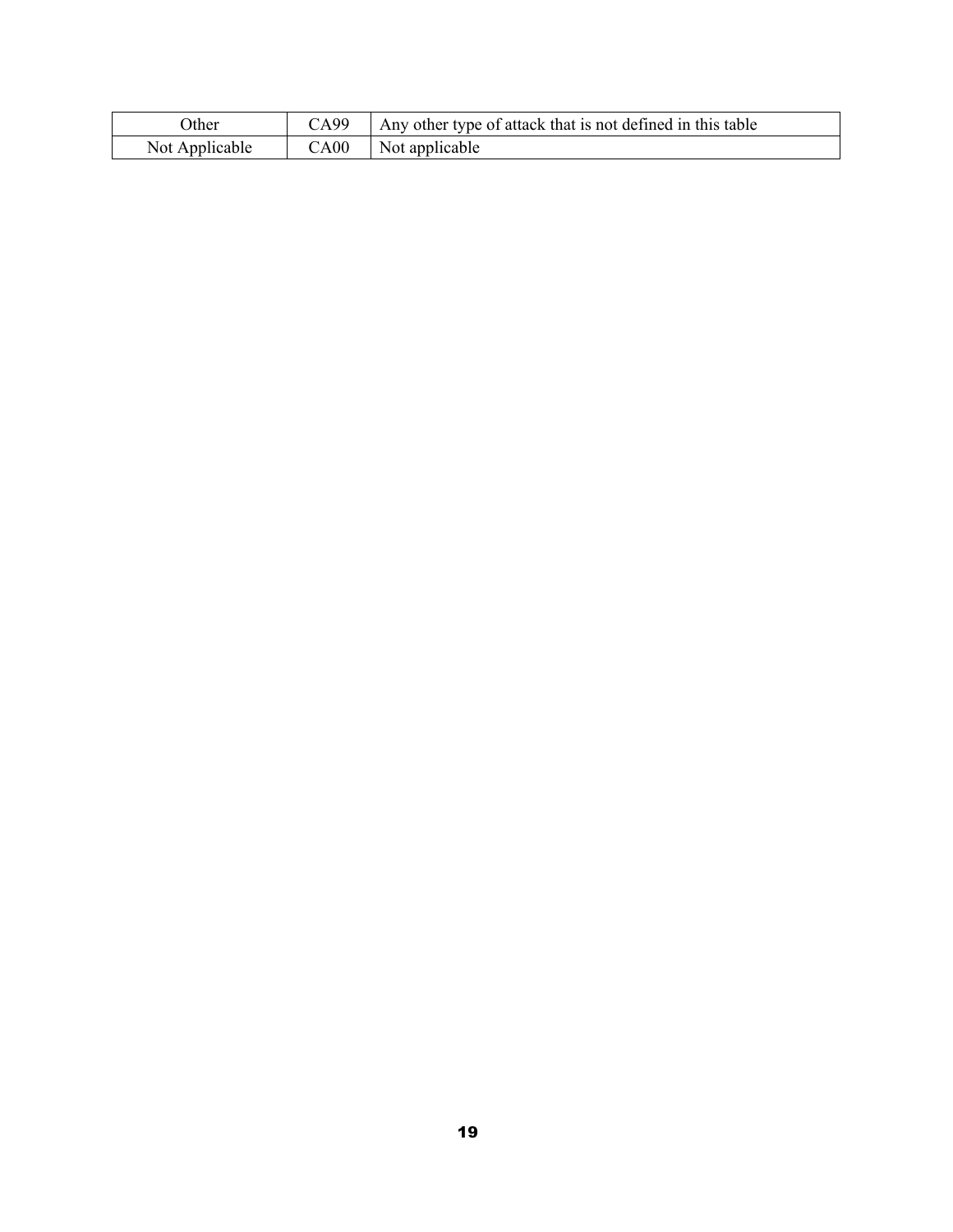| )ther          | $\bigcirc$ A99 | Any other type of attack that is not defined in this table |
|----------------|----------------|------------------------------------------------------------|
| Not Applicable | C A 00         | Not applicable                                             |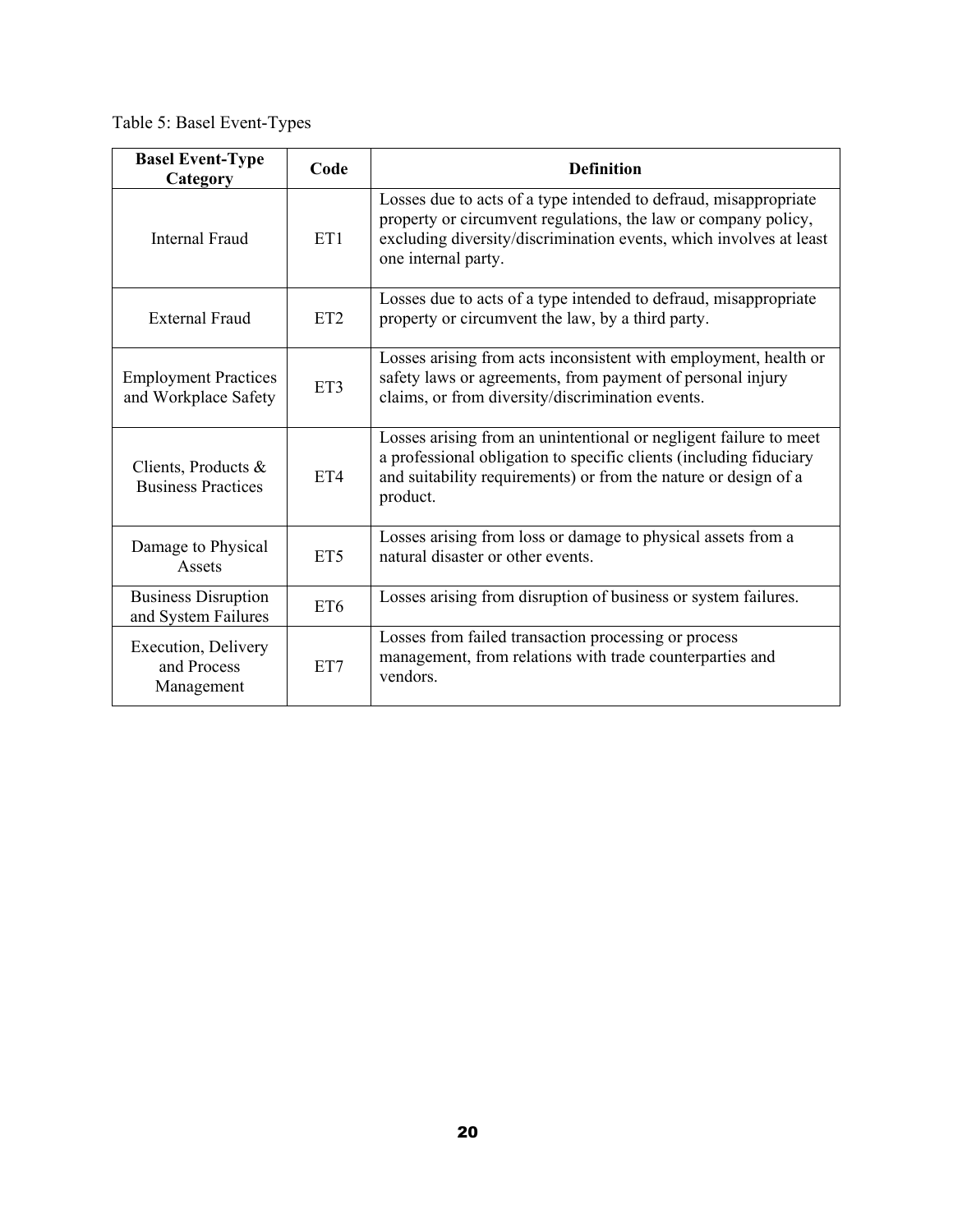Table 5: Basel Event-Types

| <b>Basel Event-Type</b><br>Category                 | Code            | <b>Definition</b>                                                                                                                                                                                                               |  |
|-----------------------------------------------------|-----------------|---------------------------------------------------------------------------------------------------------------------------------------------------------------------------------------------------------------------------------|--|
| <b>Internal Fraud</b>                               | ET1             | Losses due to acts of a type intended to defraud, misappropriate<br>property or circumvent regulations, the law or company policy,<br>excluding diversity/discrimination events, which involves at least<br>one internal party. |  |
| <b>External Fraud</b>                               | ET <sub>2</sub> | Losses due to acts of a type intended to defraud, misappropriate<br>property or circumvent the law, by a third party.                                                                                                           |  |
| <b>Employment Practices</b><br>and Workplace Safety | ET3             | Losses arising from acts inconsistent with employment, health or<br>safety laws or agreements, from payment of personal injury<br>claims, or from diversity/discrimination events.                                              |  |
| Clients, Products &<br><b>Business Practices</b>    | ET4             | Losses arising from an unintentional or negligent failure to meet<br>a professional obligation to specific clients (including fiduciary<br>and suitability requirements) or from the nature or design of a<br>product.          |  |
| Damage to Physical<br>Assets                        | ET <sub>5</sub> | Losses arising from loss or damage to physical assets from a<br>natural disaster or other events.                                                                                                                               |  |
| <b>Business Disruption</b><br>and System Failures   | ET <sub>6</sub> | Losses arising from disruption of business or system failures.                                                                                                                                                                  |  |
| Execution, Delivery<br>and Process<br>Management    | ET7             | Losses from failed transaction processing or process<br>management, from relations with trade counterparties and<br>vendors.                                                                                                    |  |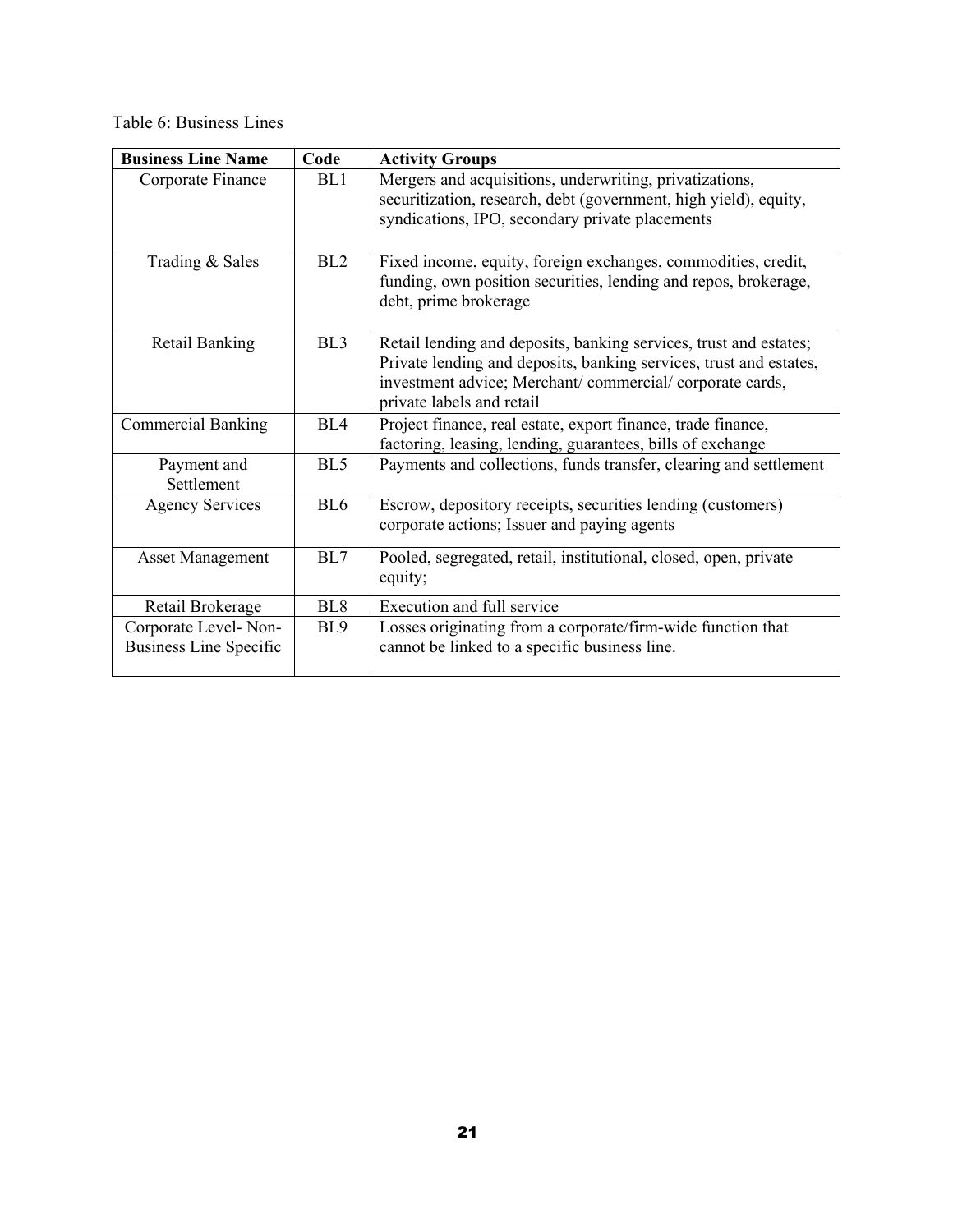Table 6: Business Lines

| <b>Business Line Name</b>     | Code            | <b>Activity Groups</b>                                                                                                                                                                                                          |  |
|-------------------------------|-----------------|---------------------------------------------------------------------------------------------------------------------------------------------------------------------------------------------------------------------------------|--|
| Corporate Finance             | BL1             | Mergers and acquisitions, underwriting, privatizations,<br>securitization, research, debt (government, high yield), equity,<br>syndications, IPO, secondary private placements                                                  |  |
| Trading & Sales               | BL2             | Fixed income, equity, foreign exchanges, commodities, credit,<br>funding, own position securities, lending and repos, brokerage,<br>debt, prime brokerage                                                                       |  |
| <b>Retail Banking</b>         | BL <sub>3</sub> | Retail lending and deposits, banking services, trust and estates;<br>Private lending and deposits, banking services, trust and estates,<br>investment advice; Merchant/commercial/corporate cards,<br>private labels and retail |  |
| <b>Commercial Banking</b>     | BL4             | Project finance, real estate, export finance, trade finance,<br>factoring, leasing, lending, guarantees, bills of exchange                                                                                                      |  |
| Payment and<br>Settlement     | BL <sub>5</sub> | Payments and collections, funds transfer, clearing and settlement                                                                                                                                                               |  |
| <b>Agency Services</b>        | BL <sub>6</sub> | Escrow, depository receipts, securities lending (customers)<br>corporate actions; Issuer and paying agents                                                                                                                      |  |
| <b>Asset Management</b>       | BL7             | Pooled, segregated, retail, institutional, closed, open, private<br>equity;                                                                                                                                                     |  |
| Retail Brokerage              | BL <sub>8</sub> | Execution and full service                                                                                                                                                                                                      |  |
| Corporate Level-Non-          | BL <sub>9</sub> | Losses originating from a corporate/firm-wide function that                                                                                                                                                                     |  |
| <b>Business Line Specific</b> |                 | cannot be linked to a specific business line.                                                                                                                                                                                   |  |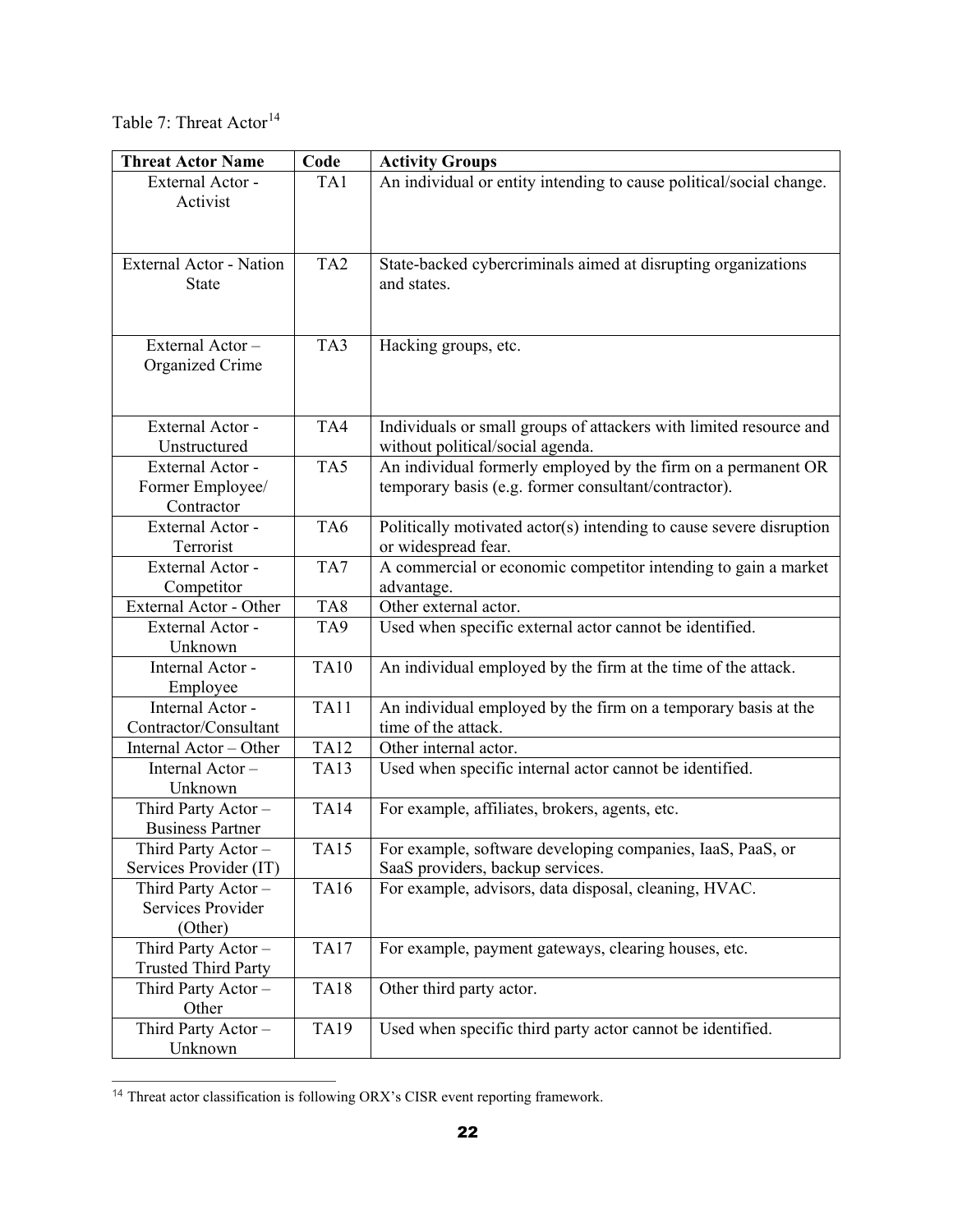Table 7: Threat  $Action<sup>14</sup>$  $Action<sup>14</sup>$  $Action<sup>14</sup>$ 

| <b>Threat Actor Name</b>                       | Code            | <b>Activity Groups</b>                                                       |
|------------------------------------------------|-----------------|------------------------------------------------------------------------------|
| External Actor -                               | TA1             | An individual or entity intending to cause political/social change.          |
| Activist                                       |                 |                                                                              |
|                                                |                 |                                                                              |
|                                                |                 |                                                                              |
| <b>External Actor - Nation</b>                 | TA <sub>2</sub> | State-backed cybercriminals aimed at disrupting organizations                |
| <b>State</b>                                   |                 | and states.                                                                  |
|                                                |                 |                                                                              |
| External Actor-                                | TA3             | Hacking groups, etc.                                                         |
| Organized Crime                                |                 |                                                                              |
|                                                |                 |                                                                              |
|                                                |                 |                                                                              |
| External Actor -                               | TA4             | Individuals or small groups of attackers with limited resource and           |
| Unstructured                                   |                 | without political/social agenda.                                             |
| External Actor -                               | TA5             | An individual formerly employed by the firm on a permanent OR                |
| Former Employee/                               |                 | temporary basis (e.g. former consultant/contractor).                         |
| Contractor                                     |                 |                                                                              |
| External Actor -                               | TA6             | Politically motivated actor(s) intending to cause severe disruption          |
| Terrorist<br>External Actor -                  | TA7             | or widespread fear.                                                          |
| Competitor                                     |                 | A commercial or economic competitor intending to gain a market<br>advantage. |
| External Actor - Other                         | TA <sub>8</sub> | Other external actor.                                                        |
| External Actor -                               | TA <sub>9</sub> | Used when specific external actor cannot be identified.                      |
| Unknown                                        |                 |                                                                              |
| Internal Actor -                               | <b>TA10</b>     | An individual employed by the firm at the time of the attack.                |
| Employee                                       |                 |                                                                              |
| Internal Actor -                               | <b>TA11</b>     | An individual employed by the firm on a temporary basis at the               |
| Contractor/Consultant                          |                 | time of the attack.                                                          |
| Internal Actor - Other                         | <b>TA12</b>     | Other internal actor.                                                        |
| Internal Actor-                                | <b>TA13</b>     | Used when specific internal actor cannot be identified.                      |
| Unknown                                        | <b>TA14</b>     |                                                                              |
| Third Party Actor -<br><b>Business Partner</b> |                 | For example, affiliates, brokers, agents, etc.                               |
| Third Party Actor -                            | TA15            | For example, software developing companies, IaaS, PaaS, or                   |
| Services Provider (IT)                         |                 | SaaS providers, backup services.                                             |
| Third Party Actor -                            | <b>TA16</b>     | For example, advisors, data disposal, cleaning, HVAC.                        |
| Services Provider                              |                 |                                                                              |
| (Other)                                        |                 |                                                                              |
| Third Party Actor -                            | <b>TA17</b>     | For example, payment gateways, clearing houses, etc.                         |
| <b>Trusted Third Party</b>                     |                 |                                                                              |
| Third Party Actor -                            | <b>TA18</b>     | Other third party actor.                                                     |
| Other                                          |                 |                                                                              |
| Third Party Actor -                            | <b>TA19</b>     | Used when specific third party actor cannot be identified.                   |
| Unknown                                        |                 |                                                                              |

<span id="page-21-0"></span> <sup>14</sup> Threat actor classification is following ORX's CISR event reporting framework.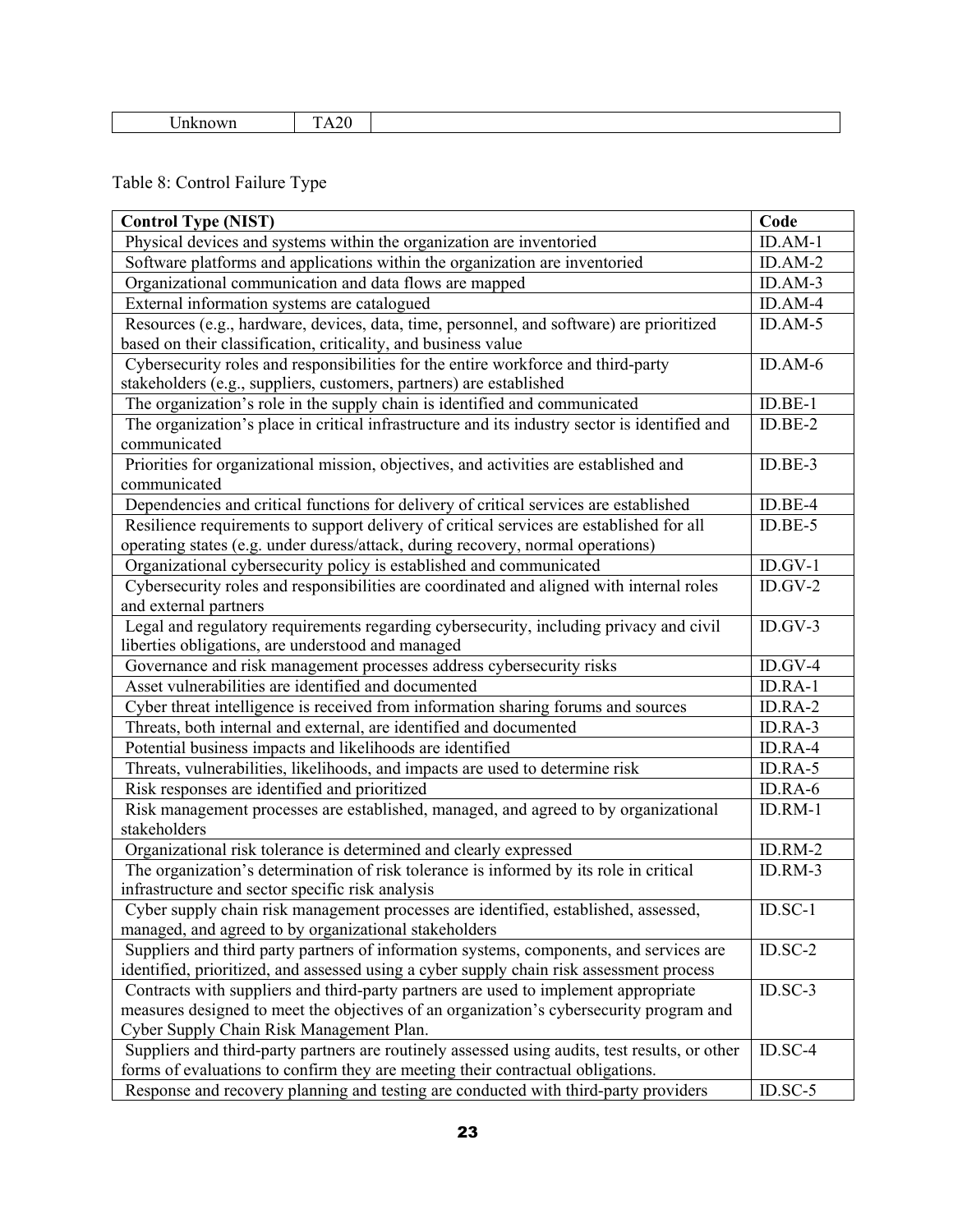| $ -$ |
|------|
|------|

# Table 8: Control Failure Type

| <b>Control Type (NIST)</b>                                                                     | Code       |  |  |
|------------------------------------------------------------------------------------------------|------------|--|--|
| Physical devices and systems within the organization are inventoried                           |            |  |  |
| Software platforms and applications within the organization are inventoried                    |            |  |  |
| Organizational communication and data flows are mapped                                         |            |  |  |
| External information systems are catalogued                                                    | ID.AM-4    |  |  |
| Resources (e.g., hardware, devices, data, time, personnel, and software) are prioritized       | $ID. AM-5$ |  |  |
| based on their classification, criticality, and business value                                 |            |  |  |
| Cybersecurity roles and responsibilities for the entire workforce and third-party              | ID.AM-6    |  |  |
| stakeholders (e.g., suppliers, customers, partners) are established                            |            |  |  |
| The organization's role in the supply chain is identified and communicated                     | $ID.BE-1$  |  |  |
| The organization's place in critical infrastructure and its industry sector is identified and  | $ID.BE-2$  |  |  |
| communicated                                                                                   |            |  |  |
| Priorities for organizational mission, objectives, and activities are established and          | $ID.BE-3$  |  |  |
| communicated                                                                                   |            |  |  |
| Dependencies and critical functions for delivery of critical services are established          | $ID.BE-4$  |  |  |
| Resilience requirements to support delivery of critical services are established for all       | $ID.BE-5$  |  |  |
| operating states (e.g. under duress/attack, during recovery, normal operations)                |            |  |  |
| Organizational cybersecurity policy is established and communicated                            | $ID.GV-1$  |  |  |
| Cybersecurity roles and responsibilities are coordinated and aligned with internal roles       | $ID.GV-2$  |  |  |
| and external partners                                                                          |            |  |  |
| Legal and regulatory requirements regarding cybersecurity, including privacy and civil         | $ID.GV-3$  |  |  |
| liberties obligations, are understood and managed                                              | $ID.GV-4$  |  |  |
| Governance and risk management processes address cybersecurity risks                           |            |  |  |
| Asset vulnerabilities are identified and documented                                            |            |  |  |
| Cyber threat intelligence is received from information sharing forums and sources              |            |  |  |
| Threats, both internal and external, are identified and documented                             |            |  |  |
| Potential business impacts and likelihoods are identified                                      |            |  |  |
| Threats, vulnerabilities, likelihoods, and impacts are used to determine risk                  |            |  |  |
| Risk responses are identified and prioritized                                                  |            |  |  |
| Risk management processes are established, managed, and agreed to by organizational            | ID.RM-1    |  |  |
| stakeholders                                                                                   | ID.RM-2    |  |  |
| Organizational risk tolerance is determined and clearly expressed                              |            |  |  |
| The organization's determination of risk tolerance is informed by its role in critical         | ID.RM-3    |  |  |
| infrastructure and sector specific risk analysis                                               |            |  |  |
| Cyber supply chain risk management processes are identified, established, assessed,            | $ID. SC-1$ |  |  |
| managed, and agreed to by organizational stakeholders                                          |            |  |  |
| Suppliers and third party partners of information systems, components, and services are        | $ID. SC-2$ |  |  |
| identified, prioritized, and assessed using a cyber supply chain risk assessment process       |            |  |  |
| Contracts with suppliers and third-party partners are used to implement appropriate            | $ID. SC-3$ |  |  |
| measures designed to meet the objectives of an organization's cybersecurity program and        |            |  |  |
| Cyber Supply Chain Risk Management Plan.                                                       |            |  |  |
| Suppliers and third-party partners are routinely assessed using audits, test results, or other | $ID. SC-4$ |  |  |
| forms of evaluations to confirm they are meeting their contractual obligations.                | $ID.SC-5$  |  |  |
| Response and recovery planning and testing are conducted with third-party providers            |            |  |  |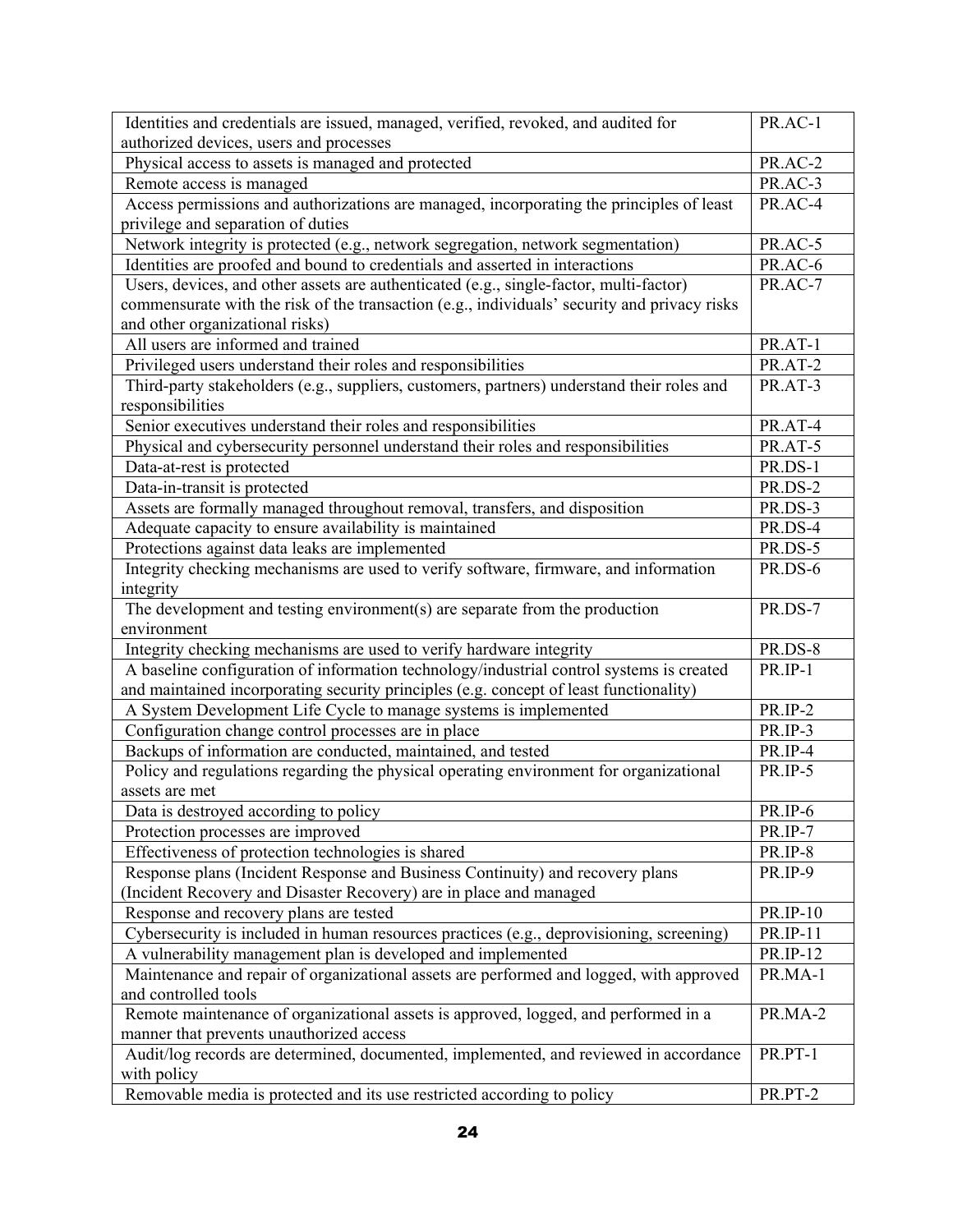| Identities and credentials are issued, managed, verified, revoked, and audited for           | PR.AC-1         |  |  |
|----------------------------------------------------------------------------------------------|-----------------|--|--|
| authorized devices, users and processes                                                      |                 |  |  |
| Physical access to assets is managed and protected                                           |                 |  |  |
| Remote access is managed                                                                     |                 |  |  |
| Access permissions and authorizations are managed, incorporating the principles of least     |                 |  |  |
| privilege and separation of duties                                                           |                 |  |  |
| Network integrity is protected (e.g., network segregation, network segmentation)             | PR.AC-5         |  |  |
| Identities are proofed and bound to credentials and asserted in interactions                 | PR.AC-6         |  |  |
| Users, devices, and other assets are authenticated (e.g., single-factor, multi-factor)       | PR.AC-7         |  |  |
| commensurate with the risk of the transaction (e.g., individuals' security and privacy risks |                 |  |  |
| and other organizational risks)                                                              |                 |  |  |
| All users are informed and trained                                                           | PR.AT-1         |  |  |
| Privileged users understand their roles and responsibilities                                 | PR.AT-2         |  |  |
| Third-party stakeholders (e.g., suppliers, customers, partners) understand their roles and   | PR.AT-3         |  |  |
| responsibilities                                                                             |                 |  |  |
| Senior executives understand their roles and responsibilities                                | PR.AT-4         |  |  |
| Physical and cybersecurity personnel understand their roles and responsibilities             | PR.AT-5         |  |  |
| Data-at-rest is protected                                                                    | PR.DS-1         |  |  |
| Data-in-transit is protected                                                                 | PR.DS-2         |  |  |
| Assets are formally managed throughout removal, transfers, and disposition                   | PR.DS-3         |  |  |
| Adequate capacity to ensure availability is maintained                                       | PR.DS-4         |  |  |
| Protections against data leaks are implemented                                               | <b>PR.DS-5</b>  |  |  |
| Integrity checking mechanisms are used to verify software, firmware, and information         | <b>PR.DS-6</b>  |  |  |
| integrity                                                                                    |                 |  |  |
| The development and testing environment(s) are separate from the production                  | PR.DS-7         |  |  |
| environment                                                                                  | PR.DS-8         |  |  |
| Integrity checking mechanisms are used to verify hardware integrity                          |                 |  |  |
| A baseline configuration of information technology/industrial control systems is created     | PR.IP-1         |  |  |
| and maintained incorporating security principles (e.g. concept of least functionality)       | PR.IP-2         |  |  |
| A System Development Life Cycle to manage systems is implemented                             |                 |  |  |
| Configuration change control processes are in place                                          |                 |  |  |
| Backups of information are conducted, maintained, and tested                                 |                 |  |  |
| Policy and regulations regarding the physical operating environment for organizational       |                 |  |  |
| assets are met                                                                               |                 |  |  |
| Data is destroyed according to policy                                                        | $PR.ID-6$       |  |  |
| Protection processes are improved                                                            | PR.IP-7         |  |  |
| Effectiveness of protection technologies is shared                                           | PR.IP-8         |  |  |
| Response plans (Incident Response and Business Continuity) and recovery plans                | PR.IP-9         |  |  |
| (Incident Recovery and Disaster Recovery) are in place and managed                           | <b>PR.IP-10</b> |  |  |
| Response and recovery plans are tested                                                       |                 |  |  |
| Cybersecurity is included in human resources practices (e.g., deprovisioning, screening)     |                 |  |  |
| A vulnerability management plan is developed and implemented                                 |                 |  |  |
| Maintenance and repair of organizational assets are performed and logged, with approved      |                 |  |  |
| and controlled tools                                                                         |                 |  |  |
| Remote maintenance of organizational assets is approved, logged, and performed in a          | PR.MA-2         |  |  |
| manner that prevents unauthorized access                                                     |                 |  |  |
| Audit/log records are determined, documented, implemented, and reviewed in accordance        | PR.PT-1         |  |  |
| with policy                                                                                  |                 |  |  |
| Removable media is protected and its use restricted according to policy                      | PR.PT-2         |  |  |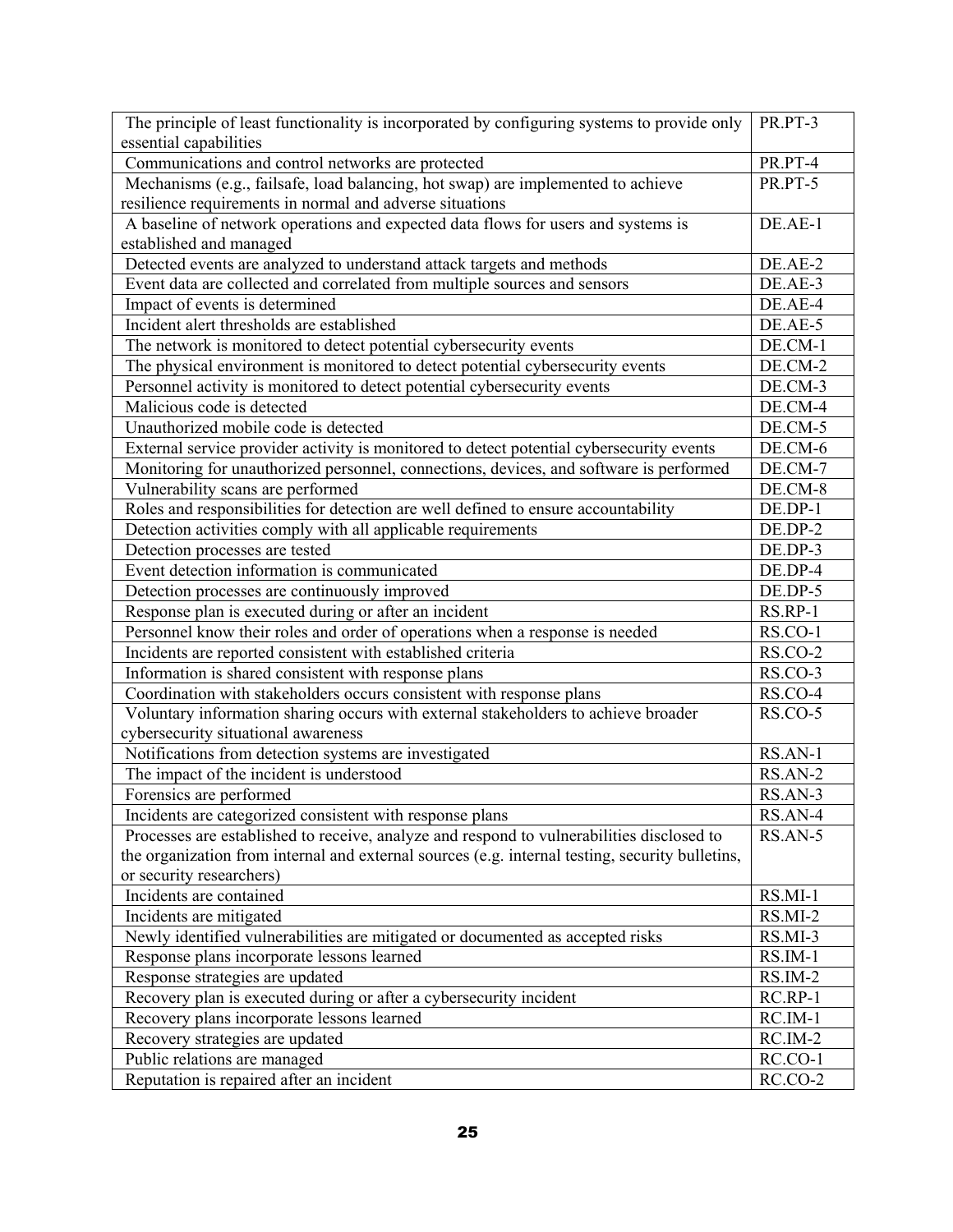| The principle of least functionality is incorporated by configuring systems to provide only     | PR.PT-3   |  |  |
|-------------------------------------------------------------------------------------------------|-----------|--|--|
| essential capabilities                                                                          |           |  |  |
| Communications and control networks are protected                                               |           |  |  |
| Mechanisms (e.g., failsafe, load balancing, hot swap) are implemented to achieve                |           |  |  |
| resilience requirements in normal and adverse situations                                        |           |  |  |
| A baseline of network operations and expected data flows for users and systems is               | DE.AE-1   |  |  |
| established and managed                                                                         |           |  |  |
| Detected events are analyzed to understand attack targets and methods                           | DE.AE-2   |  |  |
| Event data are collected and correlated from multiple sources and sensors                       | DE.AE-3   |  |  |
| Impact of events is determined                                                                  | DE.AE-4   |  |  |
| Incident alert thresholds are established                                                       | DE.AE-5   |  |  |
| The network is monitored to detect potential cybersecurity events                               | DE.CM-1   |  |  |
| The physical environment is monitored to detect potential cybersecurity events                  | DE.CM-2   |  |  |
| Personnel activity is monitored to detect potential cybersecurity events                        | DE.CM-3   |  |  |
| Malicious code is detected                                                                      | DE.CM-4   |  |  |
| Unauthorized mobile code is detected                                                            | DE.CM-5   |  |  |
| External service provider activity is monitored to detect potential cybersecurity events        | DE.CM-6   |  |  |
| Monitoring for unauthorized personnel, connections, devices, and software is performed          | DE.CM-7   |  |  |
| Vulnerability scans are performed                                                               | DE.CM-8   |  |  |
| Roles and responsibilities for detection are well defined to ensure accountability              | DE.DP-1   |  |  |
| Detection activities comply with all applicable requirements                                    | DE.DP-2   |  |  |
| Detection processes are tested                                                                  | DE.DP-3   |  |  |
| Event detection information is communicated                                                     | DE.DP-4   |  |  |
| Detection processes are continuously improved                                                   | DE.DP-5   |  |  |
| Response plan is executed during or after an incident                                           |           |  |  |
| Personnel know their roles and order of operations when a response is needed                    |           |  |  |
| Incidents are reported consistent with established criteria                                     |           |  |  |
| Information is shared consistent with response plans                                            |           |  |  |
| Coordination with stakeholders occurs consistent with response plans                            |           |  |  |
| Voluntary information sharing occurs with external stakeholders to achieve broader              |           |  |  |
| cybersecurity situational awareness                                                             |           |  |  |
| Notifications from detection systems are investigated                                           |           |  |  |
| The impact of the incident is understood                                                        | RS.AN-2   |  |  |
| Forensics are performed                                                                         | RS.AN-3   |  |  |
| Incidents are categorized consistent with response plans                                        | RS.AN-4   |  |  |
| Processes are established to receive, analyze and respond to vulnerabilities disclosed to       |           |  |  |
| the organization from internal and external sources (e.g. internal testing, security bulletins, |           |  |  |
| or security researchers)                                                                        |           |  |  |
| Incidents are contained                                                                         | $RS.MI-1$ |  |  |
| Incidents are mitigated                                                                         | $RS.MI-2$ |  |  |
| Newly identified vulnerabilities are mitigated or documented as accepted risks                  |           |  |  |
| Response plans incorporate lessons learned                                                      |           |  |  |
| Response strategies are updated                                                                 |           |  |  |
| Recovery plan is executed during or after a cybersecurity incident                              |           |  |  |
| Recovery plans incorporate lessons learned                                                      |           |  |  |
| Recovery strategies are updated                                                                 |           |  |  |
| Public relations are managed                                                                    |           |  |  |
| Reputation is repaired after an incident                                                        |           |  |  |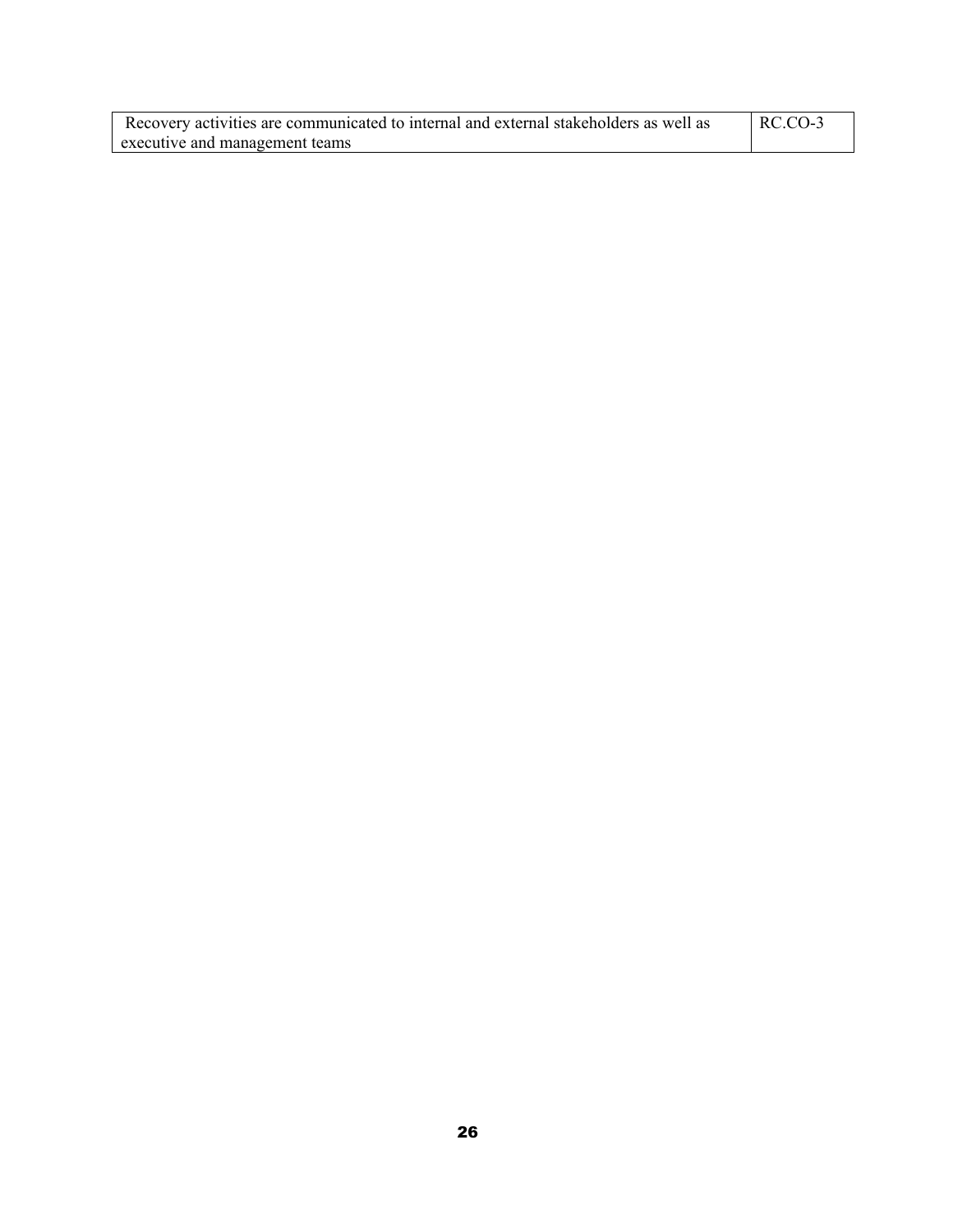| Recovery activities are communicated to internal and external stakeholders as well as | RC.CO-3 |
|---------------------------------------------------------------------------------------|---------|
| executive and management teams                                                        |         |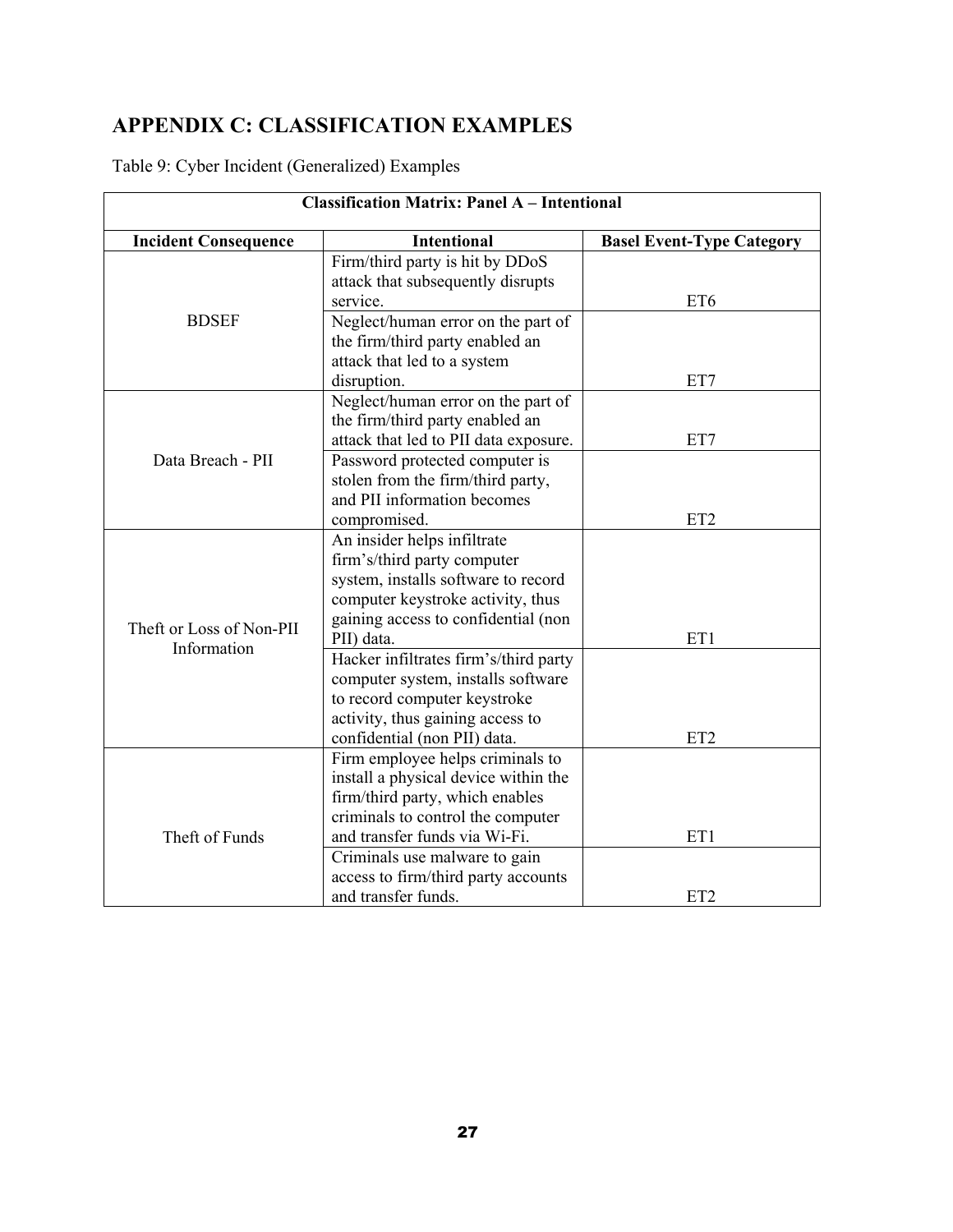# <span id="page-26-0"></span>**APPENDIX C: CLASSIFICATION EXAMPLES**

Table 9: Cyber Incident (Generalized) Examples

| <b>Classification Matrix: Panel A - Intentional</b> |                                                                      |                                  |  |
|-----------------------------------------------------|----------------------------------------------------------------------|----------------------------------|--|
| <b>Incident Consequence</b>                         | <b>Intentional</b>                                                   | <b>Basel Event-Type Category</b> |  |
|                                                     | Firm/third party is hit by DDoS                                      |                                  |  |
|                                                     | attack that subsequently disrupts<br>service.                        | ET <sub>6</sub>                  |  |
| <b>BDSEF</b>                                        | Neglect/human error on the part of                                   |                                  |  |
|                                                     | the firm/third party enabled an                                      |                                  |  |
|                                                     | attack that led to a system                                          |                                  |  |
|                                                     | disruption.                                                          | ET7                              |  |
|                                                     | Neglect/human error on the part of                                   |                                  |  |
|                                                     | the firm/third party enabled an                                      |                                  |  |
|                                                     | attack that led to PII data exposure.                                | ET7                              |  |
| Data Breach - PII                                   | Password protected computer is                                       |                                  |  |
|                                                     | stolen from the firm/third party,                                    |                                  |  |
|                                                     | and PII information becomes                                          |                                  |  |
|                                                     | compromised.                                                         | ET <sub>2</sub>                  |  |
|                                                     | An insider helps infiltrate                                          |                                  |  |
|                                                     | firm's/third party computer                                          |                                  |  |
|                                                     | system, installs software to record                                  |                                  |  |
|                                                     | computer keystroke activity, thus                                    |                                  |  |
| Theft or Loss of Non-PII                            | gaining access to confidential (non                                  |                                  |  |
| Information                                         | PII) data.                                                           | ET1                              |  |
|                                                     | Hacker infiltrates firm's/third party                                |                                  |  |
|                                                     | computer system, installs software                                   |                                  |  |
|                                                     | to record computer keystroke                                         |                                  |  |
|                                                     | activity, thus gaining access to                                     |                                  |  |
|                                                     | confidential (non PII) data.                                         | ET <sub>2</sub>                  |  |
|                                                     | Firm employee helps criminals to                                     |                                  |  |
|                                                     | install a physical device within the                                 |                                  |  |
|                                                     | firm/third party, which enables<br>criminals to control the computer |                                  |  |
| Theft of Funds                                      | and transfer funds via Wi-Fi.                                        | ET1                              |  |
|                                                     | Criminals use malware to gain                                        |                                  |  |
|                                                     | access to firm/third party accounts                                  |                                  |  |
|                                                     | and transfer funds.                                                  | ET <sub>2</sub>                  |  |